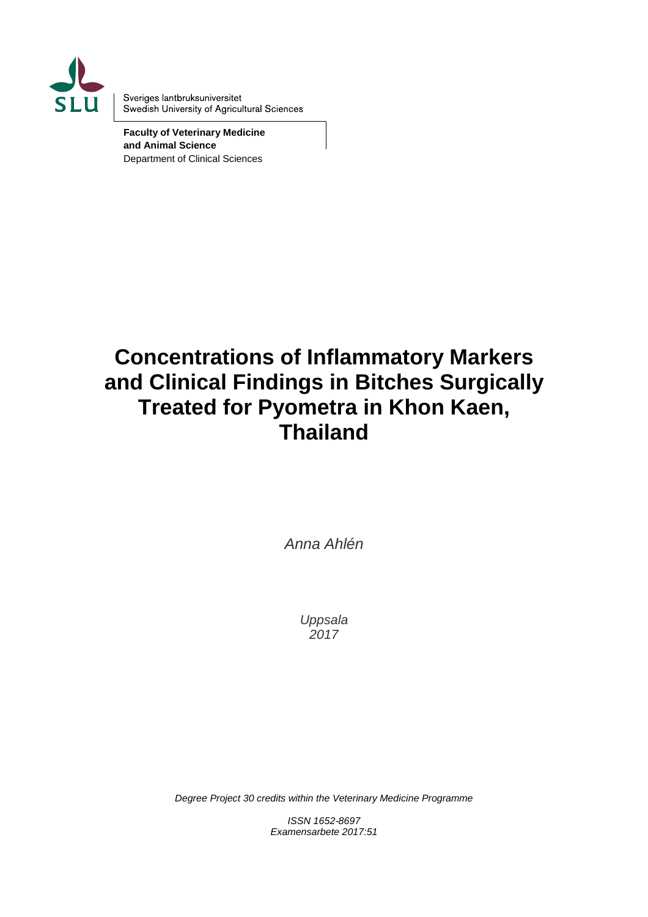

Sveriges lantbruksuniversitet Swedish University of Agricultural Sciences

**Faculty of Veterinary Medicine and Animal Science** Department of Clinical Sciences

# **Concentrations of Inflammatory Markers and Clinical Findings in Bitches Surgically Treated for Pyometra in Khon Kaen, Thailand**

*Anna Ahlén*

*Uppsala 2017*

*Degree Project 30 credits within the Veterinary Medicine Programme*

*ISSN 1652-8697 Examensarbete 2017:51*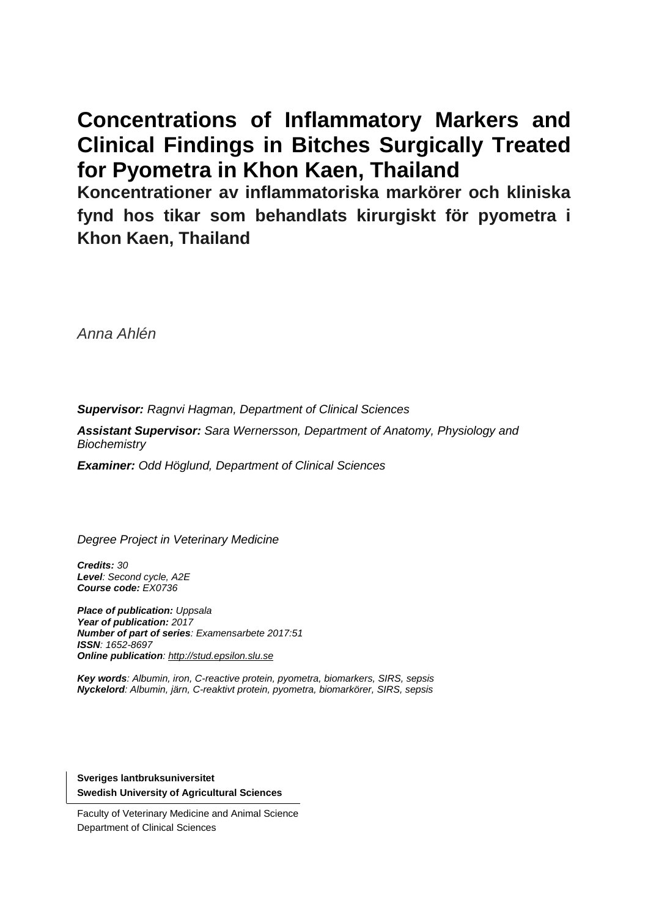# **Concentrations of Inflammatory Markers and Clinical Findings in Bitches Surgically Treated for Pyometra in Khon Kaen, Thailand**

**Koncentrationer av inflammatoriska markörer och kliniska fynd hos tikar som behandlats kirurgiskt för pyometra i Khon Kaen, Thailand**

*Anna Ahlén*

*Supervisor: Ragnvi Hagman, Department of Clinical Sciences*

*Assistant Supervisor: Sara Wernersson, Department of Anatomy, Physiology and Biochemistry*

*Examiner: Odd Höglund, Department of Clinical Sciences*

*Degree Project in Veterinary Medicine*

*Credits: 30 Level: Second cycle, A2E Course code: EX0736*

*Place of publication: Uppsala Year of publication: 2017 Number of part of series: Examensarbete 2017:51 ISSN: 1652-8697 Online publication[: http://stud.epsilon.slu.se](http://stud.epsilon.slu.se/)*

*Key words: Albumin, iron, C-reactive protein, pyometra, biomarkers, SIRS, sepsis Nyckelord: Albumin, järn, C-reaktivt protein, pyometra, biomarkörer, SIRS, sepsis*

**Sveriges lantbruksuniversitet Swedish University of Agricultural Sciences**

Faculty of Veterinary Medicine and Animal Science Department of Clinical Sciences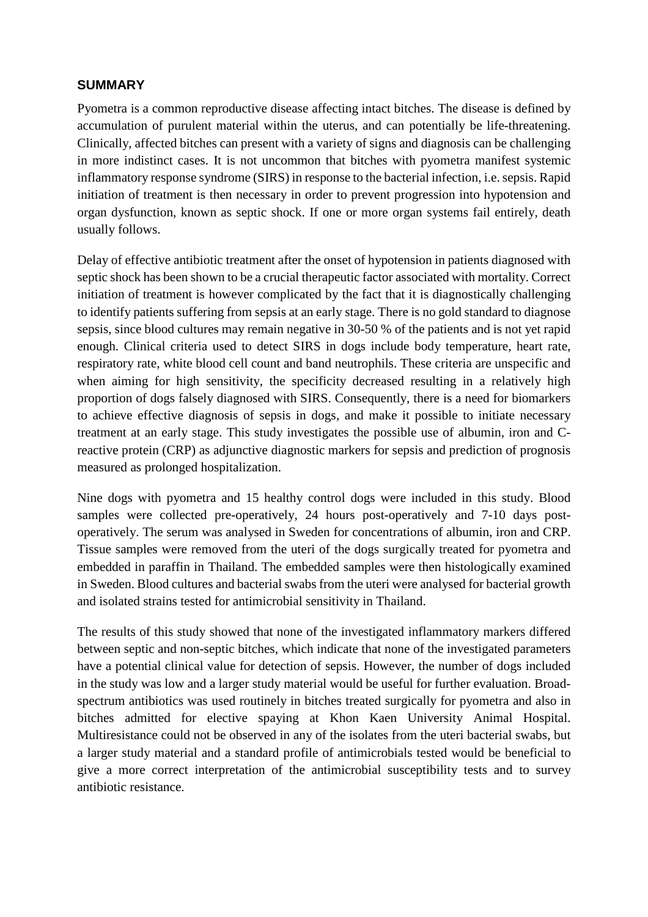## **SUMMARY**

Pyometra is a common reproductive disease affecting intact bitches. The disease is defined by accumulation of purulent material within the uterus, and can potentially be life-threatening. Clinically, affected bitches can present with a variety of signs and diagnosis can be challenging in more indistinct cases. It is not uncommon that bitches with pyometra manifest systemic inflammatory response syndrome (SIRS) in response to the bacterial infection, i.e. sepsis. Rapid initiation of treatment is then necessary in order to prevent progression into hypotension and organ dysfunction, known as septic shock. If one or more organ systems fail entirely, death usually follows.

Delay of effective antibiotic treatment after the onset of hypotension in patients diagnosed with septic shock has been shown to be a crucial therapeutic factor associated with mortality. Correct initiation of treatment is however complicated by the fact that it is diagnostically challenging to identify patients suffering from sepsis at an early stage. There is no gold standard to diagnose sepsis, since blood cultures may remain negative in 30-50 % of the patients and is not yet rapid enough. Clinical criteria used to detect SIRS in dogs include body temperature, heart rate, respiratory rate, white blood cell count and band neutrophils. These criteria are unspecific and when aiming for high sensitivity, the specificity decreased resulting in a relatively high proportion of dogs falsely diagnosed with SIRS. Consequently, there is a need for biomarkers to achieve effective diagnosis of sepsis in dogs, and make it possible to initiate necessary treatment at an early stage. This study investigates the possible use of albumin, iron and Creactive protein (CRP) as adjunctive diagnostic markers for sepsis and prediction of prognosis measured as prolonged hospitalization.

Nine dogs with pyometra and 15 healthy control dogs were included in this study. Blood samples were collected pre-operatively, 24 hours post-operatively and 7-10 days postoperatively. The serum was analysed in Sweden for concentrations of albumin, iron and CRP. Tissue samples were removed from the uteri of the dogs surgically treated for pyometra and embedded in paraffin in Thailand. The embedded samples were then histologically examined in Sweden. Blood cultures and bacterial swabs from the uteri were analysed for bacterial growth and isolated strains tested for antimicrobial sensitivity in Thailand.

The results of this study showed that none of the investigated inflammatory markers differed between septic and non-septic bitches, which indicate that none of the investigated parameters have a potential clinical value for detection of sepsis. However, the number of dogs included in the study was low and a larger study material would be useful for further evaluation. Broadspectrum antibiotics was used routinely in bitches treated surgically for pyometra and also in bitches admitted for elective spaying at Khon Kaen University Animal Hospital. Multiresistance could not be observed in any of the isolates from the uteri bacterial swabs, but a larger study material and a standard profile of antimicrobials tested would be beneficial to give a more correct interpretation of the antimicrobial susceptibility tests and to survey antibiotic resistance.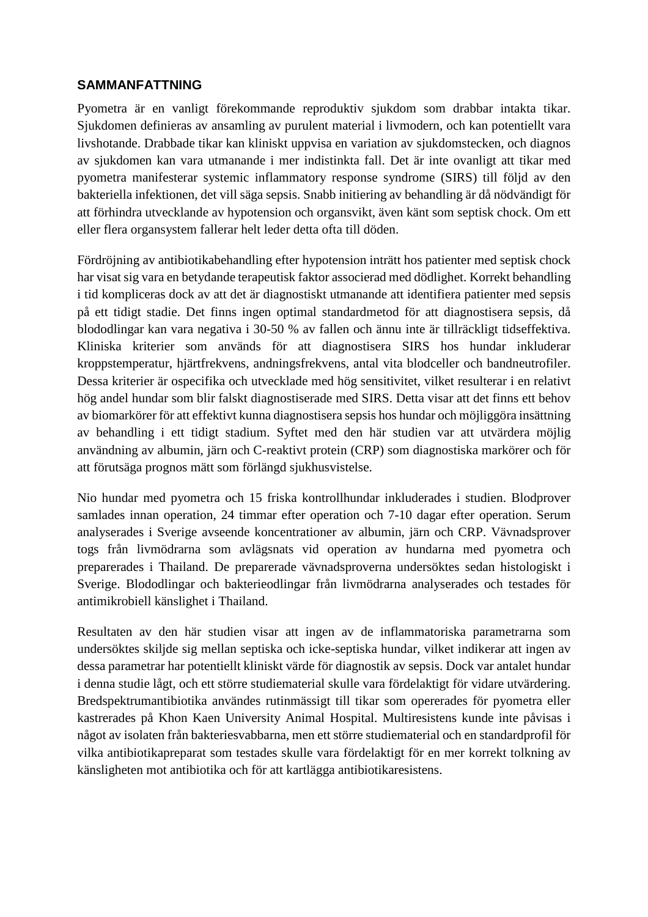#### **SAMMANFATTNING**

Pyometra är en vanligt förekommande reproduktiv sjukdom som drabbar intakta tikar. Sjukdomen definieras av ansamling av purulent material i livmodern, och kan potentiellt vara livshotande. Drabbade tikar kan kliniskt uppvisa en variation av sjukdomstecken, och diagnos av sjukdomen kan vara utmanande i mer indistinkta fall. Det är inte ovanligt att tikar med pyometra manifesterar systemic inflammatory response syndrome (SIRS) till följd av den bakteriella infektionen, det vill säga sepsis. Snabb initiering av behandling är då nödvändigt för att förhindra utvecklande av hypotension och organsvikt, även känt som septisk chock. Om ett eller flera organsystem fallerar helt leder detta ofta till döden.

Fördröjning av antibiotikabehandling efter hypotension inträtt hos patienter med septisk chock har visat sig vara en betydande terapeutisk faktor associerad med dödlighet. Korrekt behandling i tid kompliceras dock av att det är diagnostiskt utmanande att identifiera patienter med sepsis på ett tidigt stadie. Det finns ingen optimal standardmetod för att diagnostisera sepsis, då blododlingar kan vara negativa i 30-50 % av fallen och ännu inte är tillräckligt tidseffektiva. Kliniska kriterier som används för att diagnostisera SIRS hos hundar inkluderar kroppstemperatur, hjärtfrekvens, andningsfrekvens, antal vita blodceller och bandneutrofiler. Dessa kriterier är ospecifika och utvecklade med hög sensitivitet, vilket resulterar i en relativt hög andel hundar som blir falskt diagnostiserade med SIRS. Detta visar att det finns ett behov av biomarkörer för att effektivt kunna diagnostisera sepsis hos hundar och möjliggöra insättning av behandling i ett tidigt stadium. Syftet med den här studien var att utvärdera möjlig användning av albumin, järn och C-reaktivt protein (CRP) som diagnostiska markörer och för att förutsäga prognos mätt som förlängd sjukhusvistelse.

Nio hundar med pyometra och 15 friska kontrollhundar inkluderades i studien. Blodprover samlades innan operation, 24 timmar efter operation och 7-10 dagar efter operation. Serum analyserades i Sverige avseende koncentrationer av albumin, järn och CRP. Vävnadsprover togs från livmödrarna som avlägsnats vid operation av hundarna med pyometra och preparerades i Thailand. De preparerade vävnadsproverna undersöktes sedan histologiskt i Sverige. Blododlingar och bakterieodlingar från livmödrarna analyserades och testades för antimikrobiell känslighet i Thailand.

Resultaten av den här studien visar att ingen av de inflammatoriska parametrarna som undersöktes skiljde sig mellan septiska och icke-septiska hundar, vilket indikerar att ingen av dessa parametrar har potentiellt kliniskt värde för diagnostik av sepsis. Dock var antalet hundar i denna studie lågt, och ett större studiematerial skulle vara fördelaktigt för vidare utvärdering. Bredspektrumantibiotika användes rutinmässigt till tikar som opererades för pyometra eller kastrerades på Khon Kaen University Animal Hospital. Multiresistens kunde inte påvisas i något av isolaten från bakteriesvabbarna, men ett större studiematerial och en standardprofil för vilka antibiotikapreparat som testades skulle vara fördelaktigt för en mer korrekt tolkning av känsligheten mot antibiotika och för att kartlägga antibiotikaresistens.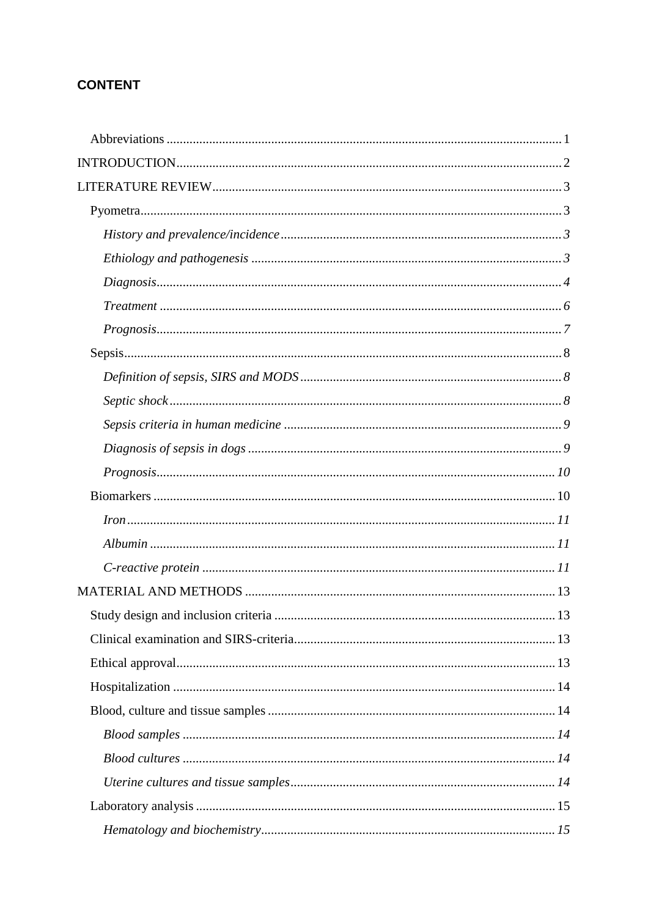# **CONTENT**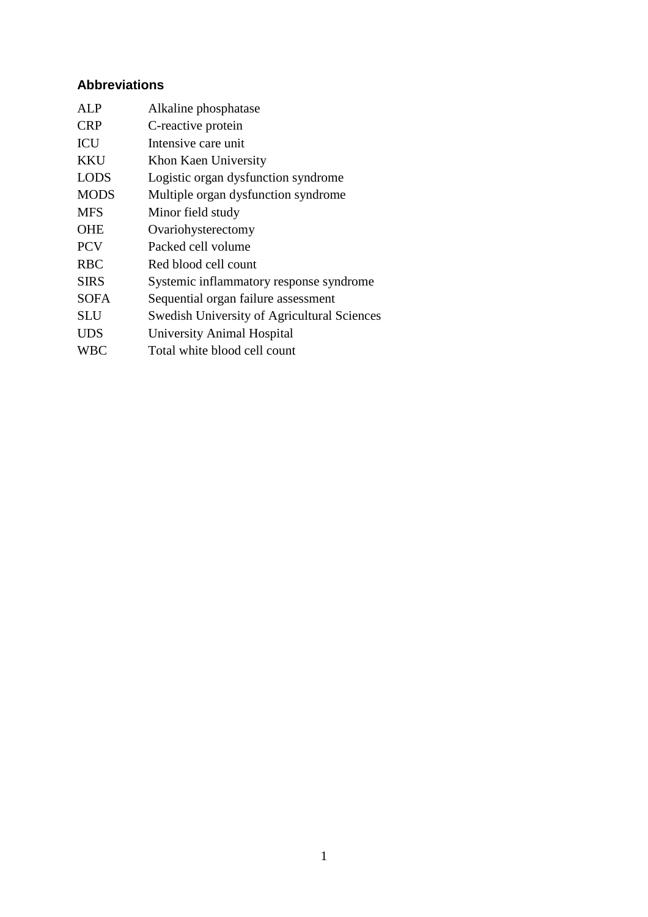# **Abbreviations**

| ALP         | Alkaline phosphatase                               |
|-------------|----------------------------------------------------|
| <b>CRP</b>  | C-reactive protein                                 |
| <b>ICU</b>  | Intensive care unit                                |
| KKU         | Khon Kaen University                               |
| <b>LODS</b> | Logistic organ dysfunction syndrome                |
| <b>MODS</b> | Multiple organ dysfunction syndrome                |
| <b>MFS</b>  | Minor field study                                  |
| <b>OHE</b>  | Ovariohysterectomy                                 |
| <b>PCV</b>  | Packed cell volume                                 |
| <b>RBC</b>  | Red blood cell count                               |
| <b>SIRS</b> | Systemic inflammatory response syndrome            |
| <b>SOFA</b> | Sequential organ failure assessment                |
| <b>SLU</b>  | <b>Swedish University of Agricultural Sciences</b> |
| <b>UDS</b>  | <b>University Animal Hospital</b>                  |
| <b>WBC</b>  | Total white blood cell count                       |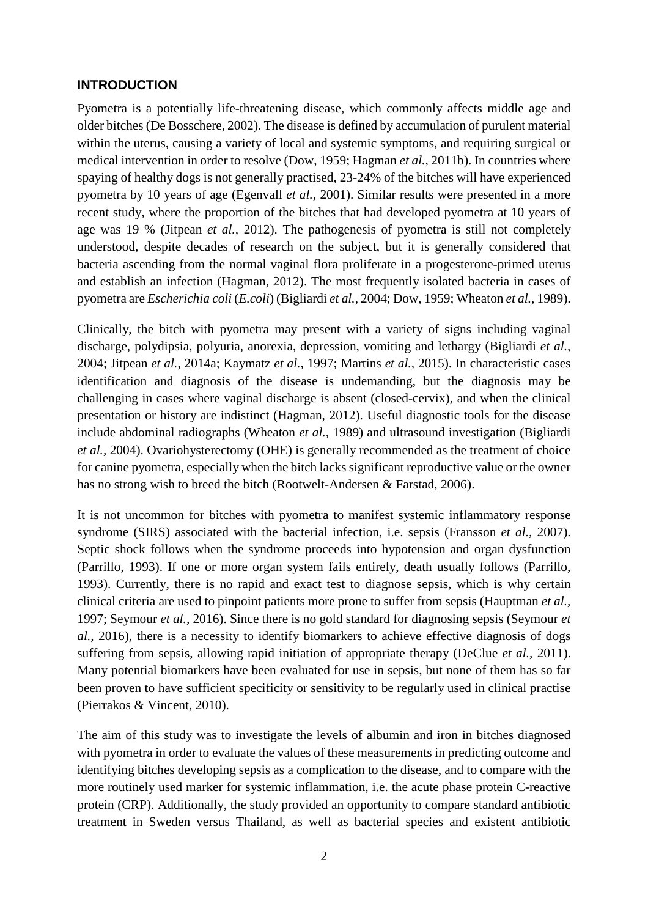#### **INTRODUCTION**

Pyometra is a potentially life-threatening disease, which commonly affects middle age and older bitches (De Bosschere, 2002). The disease is defined by accumulation of purulent material within the uterus, causing a variety of local and systemic symptoms, and requiring surgical or medical intervention in order to resolve (Dow, 1959; Hagman *et al.,* 2011b). In countries where spaying of healthy dogs is not generally practised, 23-24% of the bitches will have experienced pyometra by 10 years of age (Egenvall *et al.,* 2001). Similar results were presented in a more recent study, where the proportion of the bitches that had developed pyometra at 10 years of age was 19 % (Jitpean *et al.,* 2012). The pathogenesis of pyometra is still not completely understood, despite decades of research on the subject, but it is generally considered that bacteria ascending from the normal vaginal flora proliferate in a progesterone-primed uterus and establish an infection (Hagman, 2012). The most frequently isolated bacteria in cases of pyometra are *Escherichia coli* (*E.coli*) (Bigliardi *et al.,* 2004; Dow, 1959; Wheaton *et al.,* 1989).

Clinically, the bitch with pyometra may present with a variety of signs including vaginal discharge, polydipsia, polyuria, anorexia, depression, vomiting and lethargy (Bigliardi *et al.,*  2004; Jitpean *et al.*, 2014a; Kaymatz *et al.,* 1997; Martins *et al.,* 2015). In characteristic cases identification and diagnosis of the disease is undemanding, but the diagnosis may be challenging in cases where vaginal discharge is absent (closed-cervix), and when the clinical presentation or history are indistinct (Hagman, 2012). Useful diagnostic tools for the disease include abdominal radiographs (Wheaton *et al.,* 1989) and ultrasound investigation (Bigliardi *et al.,* 2004). Ovariohysterectomy (OHE) is generally recommended as the treatment of choice for canine pyometra, especially when the bitch lacks significant reproductive value or the owner has no strong wish to breed the bitch (Rootwelt-Andersen & Farstad, 2006).

It is not uncommon for bitches with pyometra to manifest systemic inflammatory response syndrome (SIRS) associated with the bacterial infection, i.e. sepsis (Fransson *et al.,* 2007). Septic shock follows when the syndrome proceeds into hypotension and organ dysfunction (Parrillo, 1993). If one or more organ system fails entirely, death usually follows (Parrillo, 1993). Currently, there is no rapid and exact test to diagnose sepsis, which is why certain clinical criteria are used to pinpoint patients more prone to suffer from sepsis (Hauptman *et al.,*  1997; Seymour *et al.,* 2016). Since there is no gold standard for diagnosing sepsis (Seymour *et al.,* 2016), there is a necessity to identify biomarkers to achieve effective diagnosis of dogs suffering from sepsis, allowing rapid initiation of appropriate therapy (DeClue *et al.,* 2011). Many potential biomarkers have been evaluated for use in sepsis, but none of them has so far been proven to have sufficient specificity or sensitivity to be regularly used in clinical practise (Pierrakos & Vincent, 2010).

The aim of this study was to investigate the levels of albumin and iron in bitches diagnosed with pyometra in order to evaluate the values of these measurements in predicting outcome and identifying bitches developing sepsis as a complication to the disease, and to compare with the more routinely used marker for systemic inflammation, i.e. the acute phase protein C-reactive protein (CRP). Additionally, the study provided an opportunity to compare standard antibiotic treatment in Sweden versus Thailand, as well as bacterial species and existent antibiotic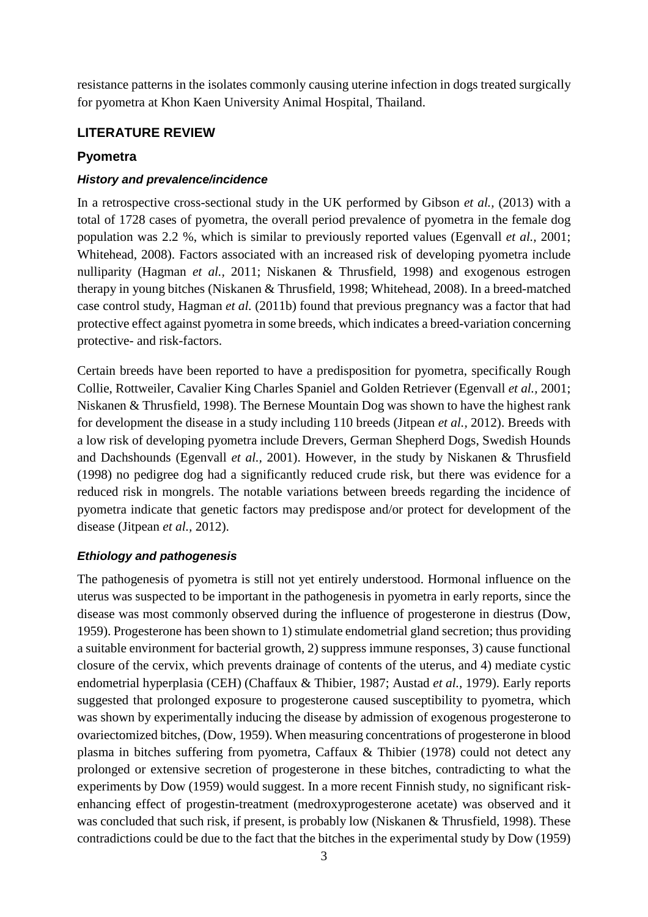resistance patterns in the isolates commonly causing uterine infection in dogs treated surgically for pyometra at Khon Kaen University Animal Hospital, Thailand.

## **LITERATURE REVIEW**

## **Pyometra**

### *History and prevalence/incidence*

In a retrospective cross-sectional study in the UK performed by Gibson *et al.,* (2013) with a total of 1728 cases of pyometra, the overall period prevalence of pyometra in the female dog population was 2.2 %, which is similar to previously reported values (Egenvall *et al.,* 2001; Whitehead, 2008). Factors associated with an increased risk of developing pyometra include nulliparity (Hagman *et al.,* 2011; Niskanen & Thrusfield, 1998) and exogenous estrogen therapy in young bitches (Niskanen & Thrusfield, 1998; Whitehead, 2008). In a breed-matched case control study, Hagman *et al.* (2011b) found that previous pregnancy was a factor that had protective effect against pyometra in some breeds, which indicates a breed-variation concerning protective- and risk-factors.

Certain breeds have been reported to have a predisposition for pyometra, specifically Rough Collie, Rottweiler, Cavalier King Charles Spaniel and Golden Retriever (Egenvall *et al.,* 2001; Niskanen & Thrusfield, 1998). The Bernese Mountain Dog was shown to have the highest rank for development the disease in a study including 110 breeds (Jitpean *et al.,* 2012). Breeds with a low risk of developing pyometra include Drevers, German Shepherd Dogs, Swedish Hounds and Dachshounds (Egenvall *et al.,* 2001). However, in the study by Niskanen & Thrusfield (1998) no pedigree dog had a significantly reduced crude risk, but there was evidence for a reduced risk in mongrels. The notable variations between breeds regarding the incidence of pyometra indicate that genetic factors may predispose and/or protect for development of the disease (Jitpean *et al.,* 2012).

#### *Ethiology and pathogenesis*

The pathogenesis of pyometra is still not yet entirely understood. Hormonal influence on the uterus was suspected to be important in the pathogenesis in pyometra in early reports, since the disease was most commonly observed during the influence of progesterone in diestrus (Dow, 1959). Progesterone has been shown to 1) stimulate endometrial gland secretion; thus providing a suitable environment for bacterial growth, 2) suppress immune responses, 3) cause functional closure of the cervix, which prevents drainage of contents of the uterus, and 4) mediate cystic endometrial hyperplasia (CEH) (Chaffaux & Thibier, 1987; Austad *et al.,* 1979). Early reports suggested that prolonged exposure to progesterone caused susceptibility to pyometra, which was shown by experimentally inducing the disease by admission of exogenous progesterone to ovariectomized bitches, (Dow, 1959). When measuring concentrations of progesterone in blood plasma in bitches suffering from pyometra, Caffaux & Thibier (1978) could not detect any prolonged or extensive secretion of progesterone in these bitches, contradicting to what the experiments by Dow (1959) would suggest. In a more recent Finnish study, no significant riskenhancing effect of progestin-treatment (medroxyprogesterone acetate) was observed and it was concluded that such risk, if present, is probably low (Niskanen & Thrusfield, 1998). These contradictions could be due to the fact that the bitches in the experimental study by Dow (1959)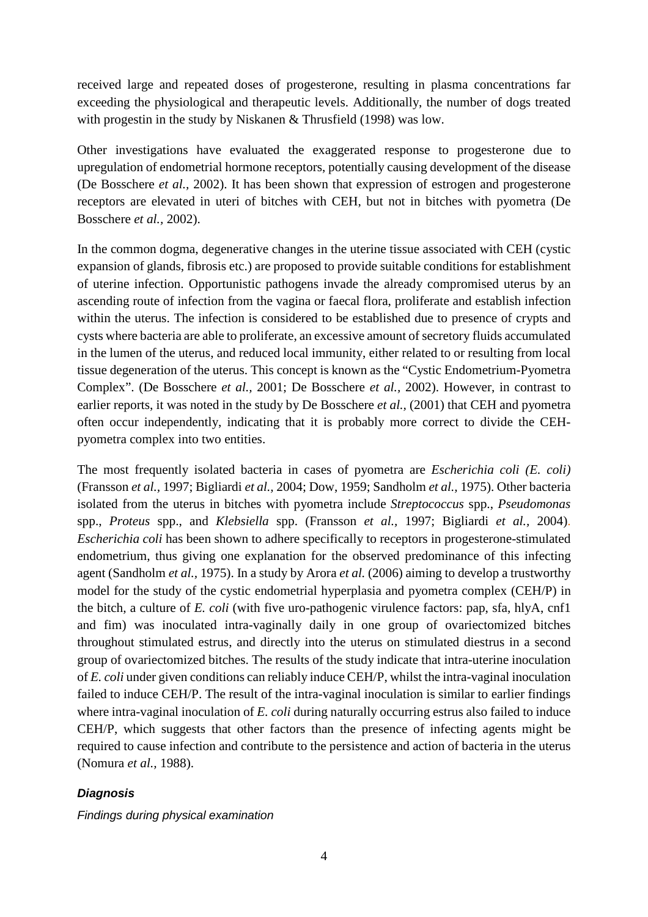received large and repeated doses of progesterone, resulting in plasma concentrations far exceeding the physiological and therapeutic levels. Additionally, the number of dogs treated with progestin in the study by Niskanen & Thrusfield (1998) was low.

Other investigations have evaluated the exaggerated response to progesterone due to upregulation of endometrial hormone receptors, potentially causing development of the disease (De Bosschere *et al.,* 2002). It has been shown that expression of estrogen and progesterone receptors are elevated in uteri of bitches with CEH, but not in bitches with pyometra (De Bosschere *et al.,* 2002).

In the common dogma, degenerative changes in the uterine tissue associated with CEH (cystic expansion of glands, fibrosis etc.) are proposed to provide suitable conditions for establishment of uterine infection. Opportunistic pathogens invade the already compromised uterus by an ascending route of infection from the vagina or faecal flora, proliferate and establish infection within the uterus. The infection is considered to be established due to presence of crypts and cysts where bacteria are able to proliferate, an excessive amount of secretory fluids accumulated in the lumen of the uterus, and reduced local immunity, either related to or resulting from local tissue degeneration of the uterus. This concept is known as the "Cystic Endometrium-Pyometra Complex". (De Bosschere *et al.,* 2001; De Bosschere *et al.,* 2002). However, in contrast to earlier reports, it was noted in the study by De Bosschere *et al.,* (2001) that CEH and pyometra often occur independently, indicating that it is probably more correct to divide the CEHpyometra complex into two entities.

The most frequently isolated bacteria in cases of pyometra are *Escherichia coli (E. coli)*  (Fransson *et al.,* 1997; Bigliardi *et al.,* 2004; Dow, 1959; Sandholm *et al.,* 1975). Other bacteria isolated from the uterus in bitches with pyometra include *Streptococcus* spp., *Pseudomonas*  spp., *Proteus* spp., and *Klebsiella* spp. (Fransson *et al.,* 1997; Bigliardi *et al.,* 2004). *Escherichia coli* has been shown to adhere specifically to receptors in progesterone-stimulated endometrium, thus giving one explanation for the observed predominance of this infecting agent (Sandholm *et al.,* 1975). In a study by Arora *et al.* (2006) aiming to develop a trustworthy model for the study of the cystic endometrial hyperplasia and pyometra complex (CEH/P) in the bitch, a culture of *E. coli* (with five uro-pathogenic virulence factors: pap, sfa, hlyA, cnf1 and fim) was inoculated intra-vaginally daily in one group of ovariectomized bitches throughout stimulated estrus, and directly into the uterus on stimulated diestrus in a second group of ovariectomized bitches. The results of the study indicate that intra-uterine inoculation of *E. coli* under given conditions can reliably induce CEH/P, whilst the intra-vaginal inoculation failed to induce CEH/P. The result of the intra-vaginal inoculation is similar to earlier findings where intra-vaginal inoculation of *E. coli* during naturally occurring estrus also failed to induce CEH/P, which suggests that other factors than the presence of infecting agents might be required to cause infection and contribute to the persistence and action of bacteria in the uterus (Nomura *et al.,* 1988).

#### *Diagnosis*

*Findings during physical examination*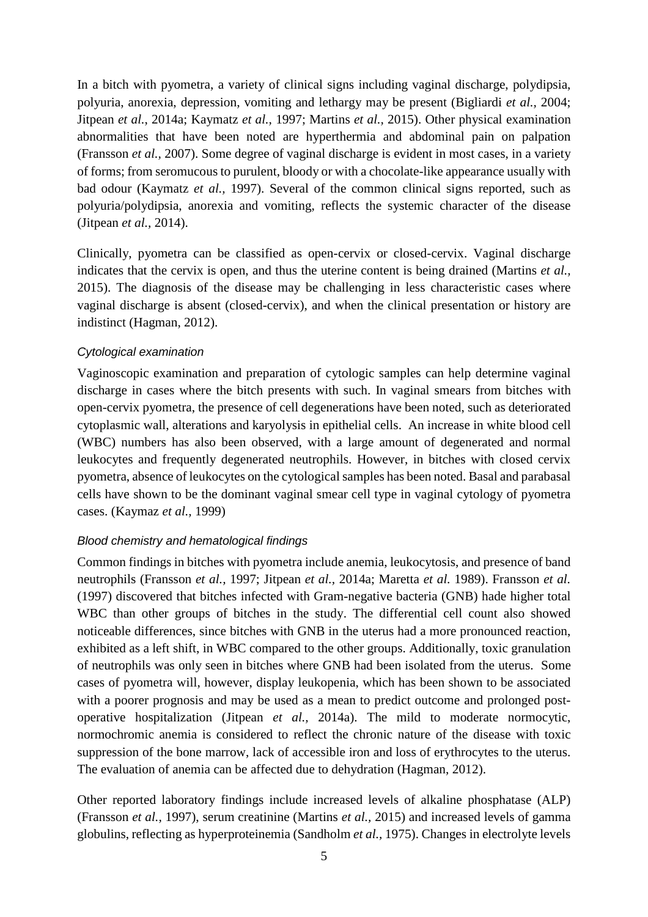In a bitch with pyometra, a variety of clinical signs including vaginal discharge, polydipsia, polyuria, anorexia, depression, vomiting and lethargy may be present (Bigliardi *et al.,* 2004; Jitpean *et al.*, 2014a; Kaymatz *et al.,* 1997; Martins *et al.,* 2015). Other physical examination abnormalities that have been noted are hyperthermia and abdominal pain on palpation (Fransson *et al.,* 2007). Some degree of vaginal discharge is evident in most cases, in a variety of forms; from seromucous to purulent, bloody or with a chocolate-like appearance usually with bad odour (Kaymatz *et al.,* 1997). Several of the common clinical signs reported, such as polyuria/polydipsia, anorexia and vomiting, reflects the systemic character of the disease (Jitpean *et al.,* 2014).

Clinically, pyometra can be classified as open-cervix or closed-cervix. Vaginal discharge indicates that the cervix is open, and thus the uterine content is being drained (Martins *et al.,*  2015). The diagnosis of the disease may be challenging in less characteristic cases where vaginal discharge is absent (closed-cervix), and when the clinical presentation or history are indistinct (Hagman, 2012).

#### *Cytological examination*

Vaginoscopic examination and preparation of cytologic samples can help determine vaginal discharge in cases where the bitch presents with such. In vaginal smears from bitches with open-cervix pyometra, the presence of cell degenerations have been noted, such as deteriorated cytoplasmic wall, alterations and karyolysis in epithelial cells. An increase in white blood cell (WBC) numbers has also been observed, with a large amount of degenerated and normal leukocytes and frequently degenerated neutrophils. However, in bitches with closed cervix pyometra, absence of leukocytes on the cytological samples has been noted. Basal and parabasal cells have shown to be the dominant vaginal smear cell type in vaginal cytology of pyometra cases. (Kaymaz *et al.,* 1999)

#### *Blood chemistry and hematological findings*

Common findings in bitches with pyometra include anemia, leukocytosis, and presence of band neutrophils (Fransson *et al.,* 1997; Jitpean *et al.,* 2014a; Maretta *et al.* 1989). Fransson *et al.*  (1997) discovered that bitches infected with Gram-negative bacteria (GNB) hade higher total WBC than other groups of bitches in the study. The differential cell count also showed noticeable differences, since bitches with GNB in the uterus had a more pronounced reaction, exhibited as a left shift, in WBC compared to the other groups. Additionally, toxic granulation of neutrophils was only seen in bitches where GNB had been isolated from the uterus. Some cases of pyometra will, however, display leukopenia, which has been shown to be associated with a poorer prognosis and may be used as a mean to predict outcome and prolonged postoperative hospitalization (Jitpean *et al.,* 2014a). The mild to moderate normocytic, normochromic anemia is considered to reflect the chronic nature of the disease with toxic suppression of the bone marrow, lack of accessible iron and loss of erythrocytes to the uterus. The evaluation of anemia can be affected due to dehydration (Hagman, 2012).

Other reported laboratory findings include increased levels of alkaline phosphatase (ALP) (Fransson *et al.,* 1997), serum creatinine (Martins *et al.,* 2015) and increased levels of gamma globulins, reflecting as hyperproteinemia (Sandholm *et al.,* 1975). Changes in electrolyte levels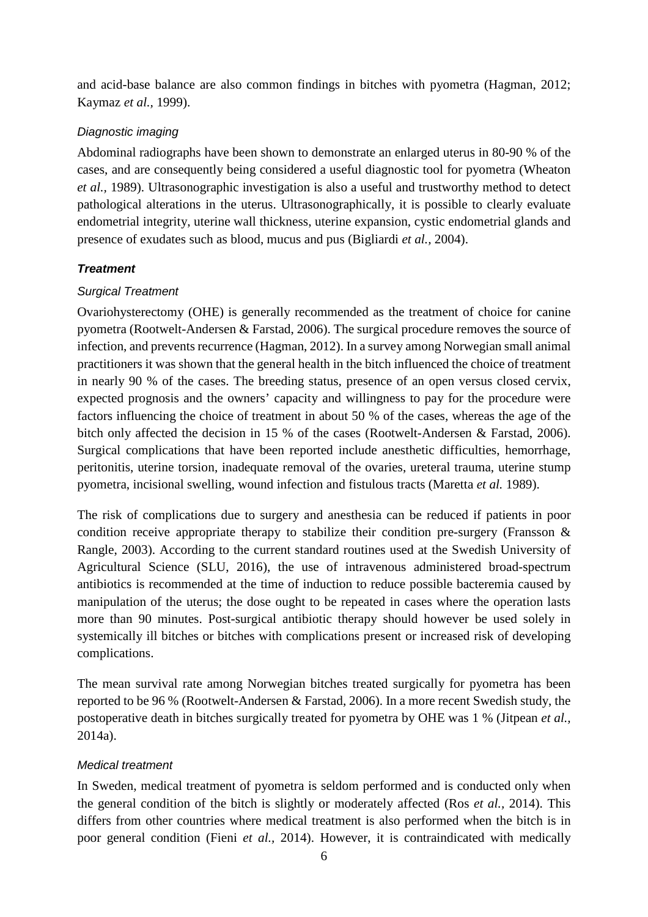and acid-base balance are also common findings in bitches with pyometra (Hagman, 2012; Kaymaz *et al.,* 1999).

## *Diagnostic imaging*

Abdominal radiographs have been shown to demonstrate an enlarged uterus in 80-90 % of the cases, and are consequently being considered a useful diagnostic tool for pyometra (Wheaton *et al.,* 1989). Ultrasonographic investigation is also a useful and trustworthy method to detect pathological alterations in the uterus. Ultrasonographically, it is possible to clearly evaluate endometrial integrity, uterine wall thickness, uterine expansion, cystic endometrial glands and presence of exudates such as blood, mucus and pus (Bigliardi *et al.,* 2004).

## *Treatment*

## *Surgical Treatment*

Ovariohysterectomy (OHE) is generally recommended as the treatment of choice for canine pyometra (Rootwelt-Andersen & Farstad, 2006). The surgical procedure removes the source of infection, and prevents recurrence (Hagman, 2012). In a survey among Norwegian small animal practitioners it was shown that the general health in the bitch influenced the choice of treatment in nearly 90 % of the cases. The breeding status, presence of an open versus closed cervix, expected prognosis and the owners' capacity and willingness to pay for the procedure were factors influencing the choice of treatment in about 50 % of the cases, whereas the age of the bitch only affected the decision in 15 % of the cases (Rootwelt-Andersen & Farstad, 2006). Surgical complications that have been reported include anesthetic difficulties, hemorrhage, peritonitis, uterine torsion, inadequate removal of the ovaries, ureteral trauma, uterine stump pyometra, incisional swelling, wound infection and fistulous tracts (Maretta *et al.* 1989).

The risk of complications due to surgery and anesthesia can be reduced if patients in poor condition receive appropriate therapy to stabilize their condition pre-surgery (Fransson  $\&$ Rangle, 2003). According to the current standard routines used at the Swedish University of Agricultural Science (SLU, 2016), the use of intravenous administered broad-spectrum antibiotics is recommended at the time of induction to reduce possible bacteremia caused by manipulation of the uterus; the dose ought to be repeated in cases where the operation lasts more than 90 minutes. Post-surgical antibiotic therapy should however be used solely in systemically ill bitches or bitches with complications present or increased risk of developing complications.

The mean survival rate among Norwegian bitches treated surgically for pyometra has been reported to be 96 % (Rootwelt-Andersen & Farstad, 2006). In a more recent Swedish study, the postoperative death in bitches surgically treated for pyometra by OHE was 1 % (Jitpean *et al.,*  2014a).

#### *Medical treatment*

In Sweden, medical treatment of pyometra is seldom performed and is conducted only when the general condition of the bitch is slightly or moderately affected (Ros *et al.,* 2014). This differs from other countries where medical treatment is also performed when the bitch is in poor general condition (Fieni *et al.,* 2014). However, it is contraindicated with medically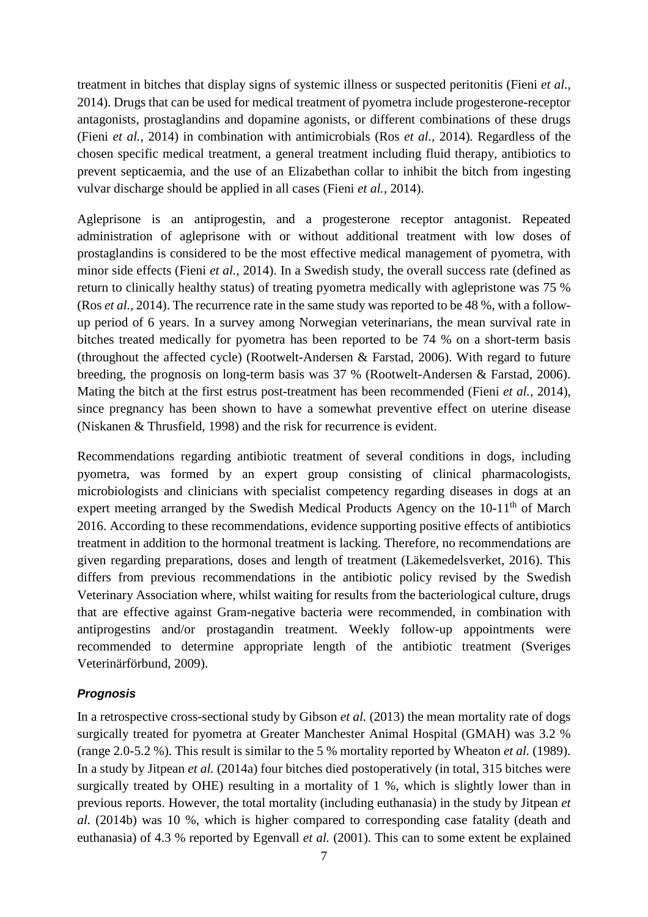treatment in bitches that display signs of systemic illness or suspected peritonitis (Fieni *et al.,*  2014). Drugs that can be used for medical treatment of pyometra include progesterone-receptor antagonists, prostaglandins and dopamine agonists, or different combinations of these drugs (Fieni *et al.,* 2014) in combination with antimicrobials (Ros *et al.,* 2014). Regardless of the chosen specific medical treatment, a general treatment including fluid therapy, antibiotics to prevent septicaemia, and the use of an Elizabethan collar to inhibit the bitch from ingesting vulvar discharge should be applied in all cases (Fieni *et al.,* 2014).

Agleprisone is an antiprogestin, and a progesterone receptor antagonist. Repeated administration of agleprisone with or without additional treatment with low doses of prostaglandins is considered to be the most effective medical management of pyometra, with minor side effects (Fieni *et al.,* 2014). In a Swedish study, the overall success rate (defined as return to clinically healthy status) of treating pyometra medically with aglepristone was 75 % (Ros *et al.,* 2014). The recurrence rate in the same study was reported to be 48 %, with a followup period of 6 years. In a survey among Norwegian veterinarians, the mean survival rate in bitches treated medically for pyometra has been reported to be 74 % on a short-term basis (throughout the affected cycle) (Rootwelt-Andersen & Farstad, 2006). With regard to future breeding, the prognosis on long-term basis was 37 % (Rootwelt-Andersen & Farstad, 2006). Mating the bitch at the first estrus post-treatment has been recommended (Fieni *et al.,* 2014), since pregnancy has been shown to have a somewhat preventive effect on uterine disease (Niskanen & Thrusfield, 1998) and the risk for recurrence is evident.

Recommendations regarding antibiotic treatment of several conditions in dogs, including pyometra, was formed by an expert group consisting of clinical pharmacologists, microbiologists and clinicians with specialist competency regarding diseases in dogs at an expert meeting arranged by the Swedish Medical Products Agency on the 10-11<sup>th</sup> of March 2016. According to these recommendations, evidence supporting positive effects of antibiotics treatment in addition to the hormonal treatment is lacking. Therefore, no recommendations are given regarding preparations, doses and length of treatment (Läkemedelsverket, 2016). This differs from previous recommendations in the antibiotic policy revised by the Swedish Veterinary Association where, whilst waiting for results from the bacteriological culture, drugs that are effective against Gram-negative bacteria were recommended, in combination with antiprogestins and/or prostagandin treatment. Weekly follow-up appointments were recommended to determine appropriate length of the antibiotic treatment (Sveriges Veterinärförbund, 2009).

#### *Prognosis*

In a retrospective cross-sectional study by Gibson *et al.* (2013) the mean mortality rate of dogs surgically treated for pyometra at Greater Manchester Animal Hospital (GMAH) was 3.2 % (range 2.0-5.2 %). This result is similar to the 5 % mortality reported by Wheaton *et al.* (1989). In a study by Jitpean *et al.* (2014a) four bitches died postoperatively (in total, 315 bitches were surgically treated by OHE) resulting in a mortality of 1 %, which is slightly lower than in previous reports. However, the total mortality (including euthanasia) in the study by Jitpean *et al.* (2014b) was 10 %, which is higher compared to corresponding case fatality (death and euthanasia) of 4.3 % reported by Egenvall *et al.* (2001). This can to some extent be explained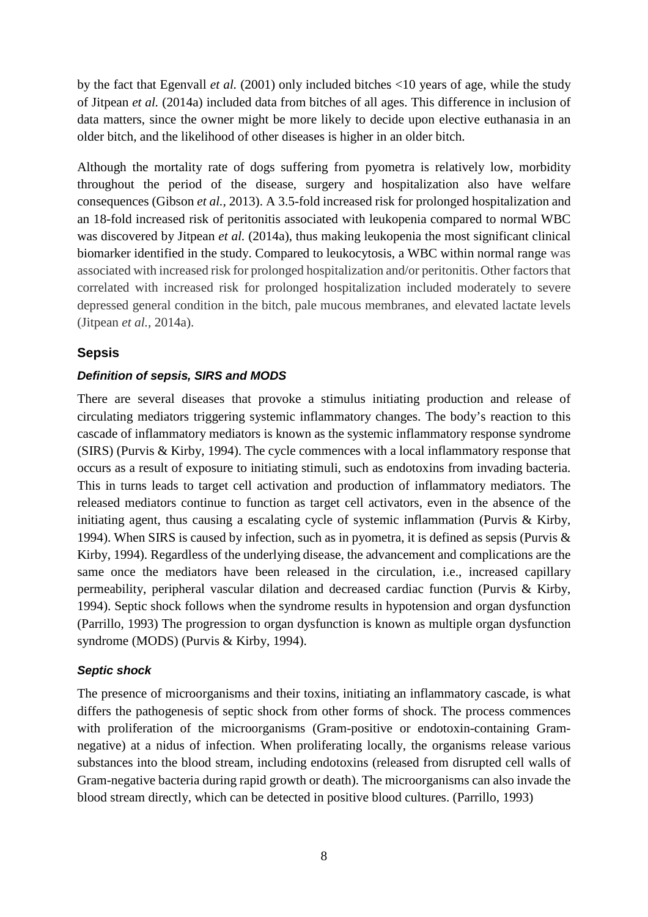by the fact that Egenvall *et al.* (2001) only included bitches <10 years of age, while the study of Jitpean *et al.* (2014a) included data from bitches of all ages. This difference in inclusion of data matters, since the owner might be more likely to decide upon elective euthanasia in an older bitch, and the likelihood of other diseases is higher in an older bitch.

Although the mortality rate of dogs suffering from pyometra is relatively low, morbidity throughout the period of the disease, surgery and hospitalization also have welfare consequences (Gibson *et al.,* 2013). A 3.5-fold increased risk for prolonged hospitalization and an 18-fold increased risk of peritonitis associated with leukopenia compared to normal WBC was discovered by Jitpean *et al.* (2014a), thus making leukopenia the most significant clinical biomarker identified in the study. Compared to leukocytosis, a WBC within normal range was associated with increased risk for prolonged hospitalization and/or peritonitis. Other factors that correlated with increased risk for prolonged hospitalization included moderately to severe depressed general condition in the bitch, pale mucous membranes, and elevated lactate levels (Jitpean *et al.,* 2014a).

## **Sepsis**

#### *Definition of sepsis, SIRS and MODS*

There are several diseases that provoke a stimulus initiating production and release of circulating mediators triggering systemic inflammatory changes. The body's reaction to this cascade of inflammatory mediators is known as the systemic inflammatory response syndrome (SIRS) (Purvis & Kirby, 1994). The cycle commences with a local inflammatory response that occurs as a result of exposure to initiating stimuli, such as endotoxins from invading bacteria. This in turns leads to target cell activation and production of inflammatory mediators. The released mediators continue to function as target cell activators, even in the absence of the initiating agent, thus causing a escalating cycle of systemic inflammation (Purvis & Kirby, 1994). When SIRS is caused by infection, such as in pyometra, it is defined as sepsis (Purvis & Kirby, 1994). Regardless of the underlying disease, the advancement and complications are the same once the mediators have been released in the circulation, i.e., increased capillary permeability, peripheral vascular dilation and decreased cardiac function (Purvis & Kirby, 1994). Septic shock follows when the syndrome results in hypotension and organ dysfunction (Parrillo, 1993) The progression to organ dysfunction is known as multiple organ dysfunction syndrome (MODS) (Purvis & Kirby, 1994).

#### *Septic shock*

The presence of microorganisms and their toxins, initiating an inflammatory cascade, is what differs the pathogenesis of septic shock from other forms of shock. The process commences with proliferation of the microorganisms (Gram-positive or endotoxin-containing Gramnegative) at a nidus of infection. When proliferating locally, the organisms release various substances into the blood stream, including endotoxins (released from disrupted cell walls of Gram-negative bacteria during rapid growth or death). The microorganisms can also invade the blood stream directly, which can be detected in positive blood cultures. (Parrillo, 1993)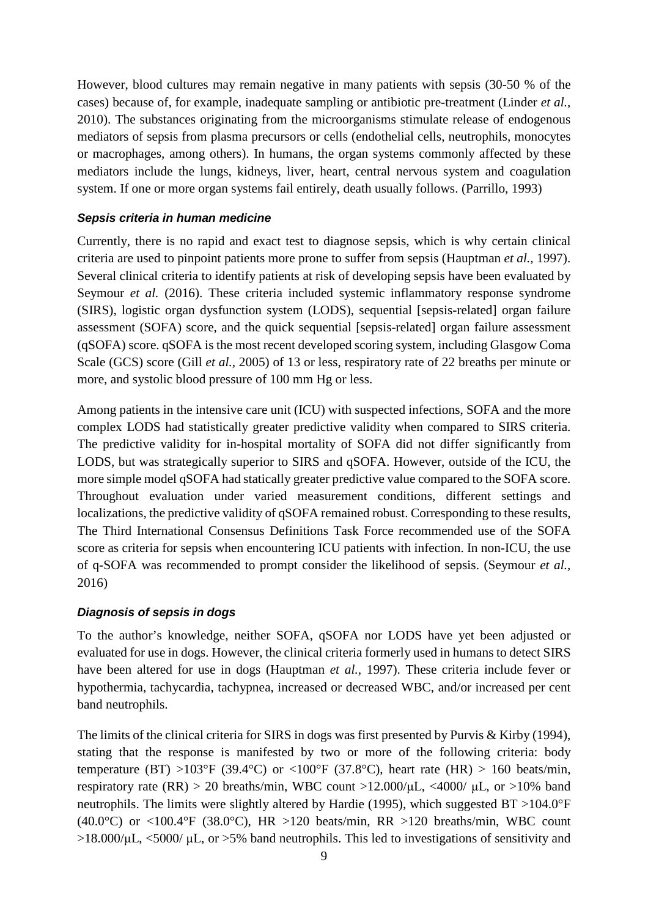However, blood cultures may remain negative in many patients with sepsis (30-50 % of the cases) because of, for example, inadequate sampling or antibiotic pre-treatment (Linder *et al.,*  2010). The substances originating from the microorganisms stimulate release of endogenous mediators of sepsis from plasma precursors or cells (endothelial cells, neutrophils, monocytes or macrophages, among others). In humans, the organ systems commonly affected by these mediators include the lungs, kidneys, liver, heart, central nervous system and coagulation system. If one or more organ systems fail entirely, death usually follows. (Parrillo, 1993)

#### *Sepsis criteria in human medicine*

Currently, there is no rapid and exact test to diagnose sepsis, which is why certain clinical criteria are used to pinpoint patients more prone to suffer from sepsis (Hauptman *et al.,* 1997). Several clinical criteria to identify patients at risk of developing sepsis have been evaluated by Seymour *et al.* (2016). These criteria included systemic inflammatory response syndrome (SIRS), logistic organ dysfunction system (LODS), sequential [sepsis-related] organ failure assessment (SOFA) score, and the quick sequential [sepsis-related] organ failure assessment (qSOFA) score. qSOFA is the most recent developed scoring system, including Glasgow Coma Scale (GCS) score (Gill *et al.,* 2005) of 13 or less, respiratory rate of 22 breaths per minute or more, and systolic blood pressure of 100 mm Hg or less.

Among patients in the intensive care unit (ICU) with suspected infections, SOFA and the more complex LODS had statistically greater predictive validity when compared to SIRS criteria. The predictive validity for in-hospital mortality of SOFA did not differ significantly from LODS, but was strategically superior to SIRS and qSOFA. However, outside of the ICU, the more simple model qSOFA had statically greater predictive value compared to the SOFA score. Throughout evaluation under varied measurement conditions, different settings and localizations, the predictive validity of qSOFA remained robust. Corresponding to these results, The Third International Consensus Definitions Task Force recommended use of the SOFA score as criteria for sepsis when encountering ICU patients with infection. In non-ICU, the use of q-SOFA was recommended to prompt consider the likelihood of sepsis. (Seymour *et al.,*  2016)

#### *Diagnosis of sepsis in dogs*

To the author's knowledge, neither SOFA, qSOFA nor LODS have yet been adjusted or evaluated for use in dogs. However, the clinical criteria formerly used in humans to detect SIRS have been altered for use in dogs (Hauptman *et al.,* 1997). These criteria include fever or hypothermia, tachycardia, tachypnea, increased or decreased WBC, and/or increased per cent band neutrophils.

The limits of the clinical criteria for SIRS in dogs was first presented by Purvis & Kirby (1994), stating that the response is manifested by two or more of the following criteria: body temperature (BT) >103°F (39.4°C) or <100°F (37.8°C), heart rate (HR) > 160 beats/min, respiratory rate (RR) > 20 breaths/min, WBC count >12.000/ $\mu$ L, <4000/ $\mu$ L, or >10% band neutrophils. The limits were slightly altered by Hardie (1995), which suggested BT >104.0°F (40.0°C) or  $\langle 100.4$ °F (38.0°C), HR >120 beats/min, RR >120 breaths/min, WBC count  $>18.000/\mu L$ ,  $<$ 5000/ $\mu$ L, or  $>$ 5% band neutrophils. This led to investigations of sensitivity and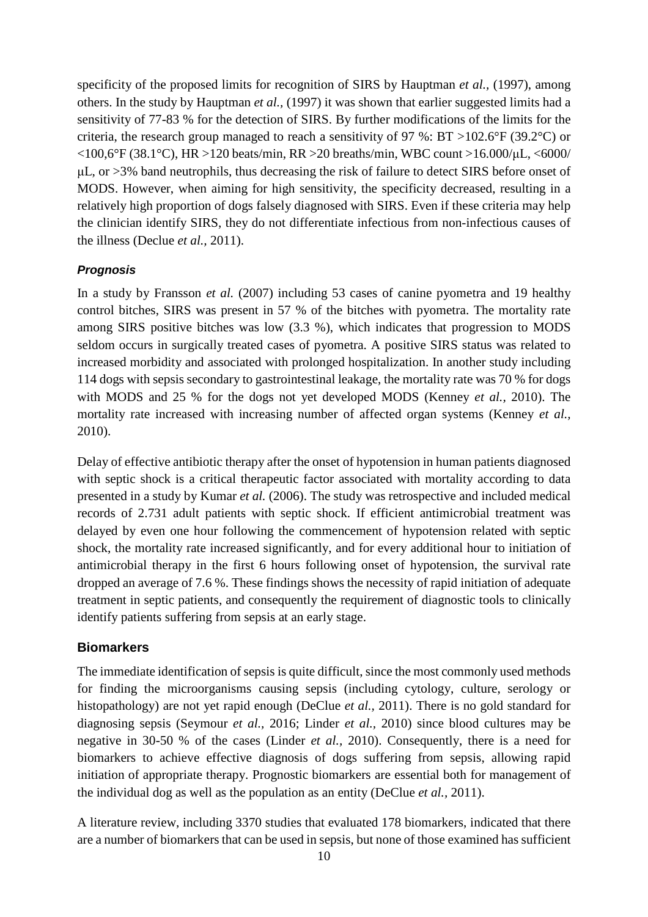specificity of the proposed limits for recognition of SIRS by Hauptman *et al.,* (1997), among others. In the study by Hauptman *et al.,* (1997) it was shown that earlier suggested limits had a sensitivity of 77-83 % for the detection of SIRS. By further modifications of the limits for the criteria, the research group managed to reach a sensitivity of 97 %: BT >102.6°F (39.2°C) or  $<$ 100,6°F (38.1°C), HR >120 beats/min, RR >20 breaths/min, WBC count >16.000/ $\mu$ L,  $<$ 6000/ μL, or >3% band neutrophils, thus decreasing the risk of failure to detect SIRS before onset of MODS. However, when aiming for high sensitivity, the specificity decreased, resulting in a relatively high proportion of dogs falsely diagnosed with SIRS. Even if these criteria may help the clinician identify SIRS, they do not differentiate infectious from non-infectious causes of the illness (Declue *et al.,* 2011).

## *Prognosis*

In a study by Fransson *et al.* (2007) including 53 cases of canine pyometra and 19 healthy control bitches, SIRS was present in 57 % of the bitches with pyometra. The mortality rate among SIRS positive bitches was low (3.3 %), which indicates that progression to MODS seldom occurs in surgically treated cases of pyometra. A positive SIRS status was related to increased morbidity and associated with prolonged hospitalization. In another study including 114 dogs with sepsis secondary to gastrointestinal leakage, the mortality rate was 70 % for dogs with MODS and 25 % for the dogs not yet developed MODS (Kenney *et al.,* 2010). The mortality rate increased with increasing number of affected organ systems (Kenney *et al.,*  2010).

Delay of effective antibiotic therapy after the onset of hypotension in human patients diagnosed with septic shock is a critical therapeutic factor associated with mortality according to data presented in a study by Kumar *et al.* (2006). The study was retrospective and included medical records of 2.731 adult patients with septic shock. If efficient antimicrobial treatment was delayed by even one hour following the commencement of hypotension related with septic shock, the mortality rate increased significantly, and for every additional hour to initiation of antimicrobial therapy in the first 6 hours following onset of hypotension, the survival rate dropped an average of 7.6 %. These findings shows the necessity of rapid initiation of adequate treatment in septic patients, and consequently the requirement of diagnostic tools to clinically identify patients suffering from sepsis at an early stage.

#### **Biomarkers**

The immediate identification of sepsis is quite difficult, since the most commonly used methods for finding the microorganisms causing sepsis (including cytology, culture, serology or histopathology) are not yet rapid enough (DeClue *et al.,* 2011). There is no gold standard for diagnosing sepsis (Seymour *et al.,* 2016; Linder *et al.,* 2010) since blood cultures may be negative in 30-50 % of the cases (Linder *et al.,* 2010). Consequently, there is a need for biomarkers to achieve effective diagnosis of dogs suffering from sepsis, allowing rapid initiation of appropriate therapy. Prognostic biomarkers are essential both for management of the individual dog as well as the population as an entity (DeClue *et al.,* 2011).

A literature review, including 3370 studies that evaluated 178 biomarkers, indicated that there are a number of biomarkers that can be used in sepsis, but none of those examined has sufficient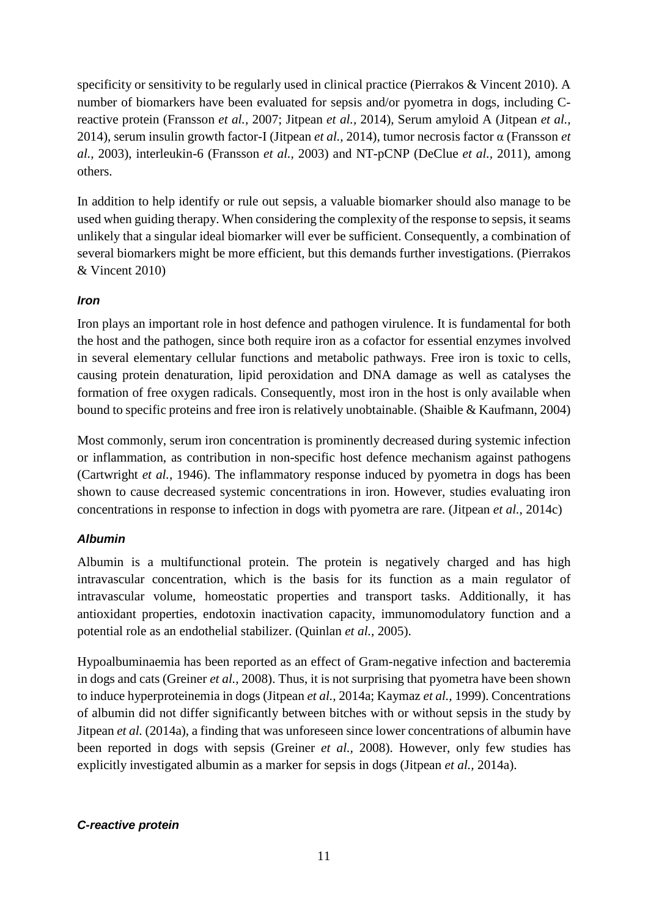specificity or sensitivity to be regularly used in clinical practice (Pierrakos & Vincent 2010). A number of biomarkers have been evaluated for sepsis and/or pyometra in dogs, including Creactive protein (Fransson *et al.,* 2007; Jitpean *et al.,* 2014), Serum amyloid A (Jitpean *et al.,*  2014), serum insulin growth factor-I (Jitpean *et al.,* 2014), tumor necrosis factor α (Fransson *et al.,* 2003), interleukin-6 (Fransson *et al.,* 2003) and NT-pCNP (DeClue *et al.,* 2011), among others.

In addition to help identify or rule out sepsis, a valuable biomarker should also manage to be used when guiding therapy. When considering the complexity of the response to sepsis, it seams unlikely that a singular ideal biomarker will ever be sufficient. Consequently, a combination of several biomarkers might be more efficient, but this demands further investigations. (Pierrakos & Vincent 2010)

#### *Iron*

Iron plays an important role in host defence and pathogen virulence. It is fundamental for both the host and the pathogen, since both require iron as a cofactor for essential enzymes involved in several elementary cellular functions and metabolic pathways. Free iron is toxic to cells, causing protein denaturation, lipid peroxidation and DNA damage as well as catalyses the formation of free oxygen radicals. Consequently, most iron in the host is only available when bound to specific proteins and free iron is relatively unobtainable. (Shaible & Kaufmann, 2004)

Most commonly, serum iron concentration is prominently decreased during systemic infection or inflammation, as contribution in non-specific host defence mechanism against pathogens (Cartwright *et al.,* 1946). The inflammatory response induced by pyometra in dogs has been shown to cause decreased systemic concentrations in iron. However, studies evaluating iron concentrations in response to infection in dogs with pyometra are rare. (Jitpean *et al.,* 2014c)

## *Albumin*

Albumin is a multifunctional protein. The protein is negatively charged and has high intravascular concentration, which is the basis for its function as a main regulator of intravascular volume, homeostatic properties and transport tasks. Additionally, it has antioxidant properties, endotoxin inactivation capacity, immunomodulatory function and a potential role as an endothelial stabilizer. (Quinlan *et al.,* 2005).

Hypoalbuminaemia has been reported as an effect of Gram-negative infection and bacteremia in dogs and cats (Greiner *et al.,* 2008). Thus, it is not surprising that pyometra have been shown to induce hyperproteinemia in dogs (Jitpean *et al.,* 2014a; Kaymaz *et al.,* 1999). Concentrations of albumin did not differ significantly between bitches with or without sepsis in the study by Jitpean *et al.* (2014a), a finding that was unforeseen since lower concentrations of albumin have been reported in dogs with sepsis (Greiner *et al.,* 2008). However, only few studies has explicitly investigated albumin as a marker for sepsis in dogs (Jitpean *et al.,* 2014a).

## *C-reactive protein*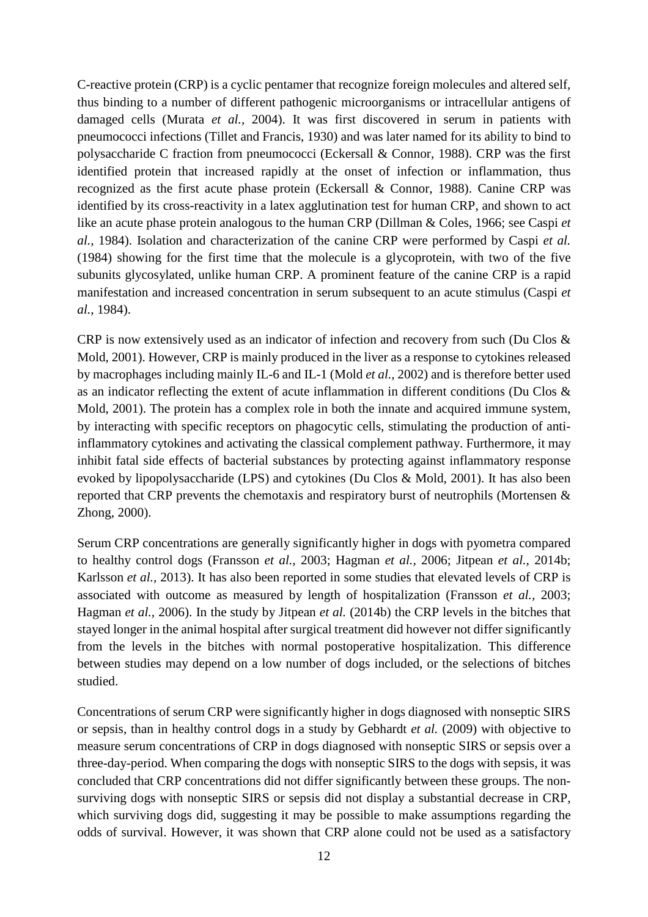C-reactive protein (CRP) is a cyclic pentamer that recognize foreign molecules and altered self, thus binding to a number of different pathogenic microorganisms or intracellular antigens of damaged cells (Murata *et al.,* 2004). It was first discovered in serum in patients with pneumococci infections (Tillet and Francis, 1930) and was later named for its ability to bind to polysaccharide C fraction from pneumococci (Eckersall & Connor, 1988). CRP was the first identified protein that increased rapidly at the onset of infection or inflammation, thus recognized as the first acute phase protein (Eckersall & Connor, 1988). Canine CRP was identified by its cross-reactivity in a latex agglutination test for human CRP, and shown to act like an acute phase protein analogous to the human CRP (Dillman & Coles, 1966; see Caspi *et al.,* 1984). Isolation and characterization of the canine CRP were performed by Caspi *et al.*  (1984) showing for the first time that the molecule is a glycoprotein, with two of the five subunits glycosylated, unlike human CRP. A prominent feature of the canine CRP is a rapid manifestation and increased concentration in serum subsequent to an acute stimulus (Caspi *et al.,* 1984).

CRP is now extensively used as an indicator of infection and recovery from such (Du Clos & Mold, 2001). However, CRP is mainly produced in the liver as a response to cytokines released by macrophages including mainly IL-6 and IL-1 (Mold *et al.,* 2002) and is therefore better used as an indicator reflecting the extent of acute inflammation in different conditions (Du Clos & Mold, 2001). The protein has a complex role in both the innate and acquired immune system, by interacting with specific receptors on phagocytic cells, stimulating the production of antiinflammatory cytokines and activating the classical complement pathway. Furthermore, it may inhibit fatal side effects of bacterial substances by protecting against inflammatory response evoked by lipopolysaccharide (LPS) and cytokines (Du Clos & Mold, 2001). It has also been reported that CRP prevents the chemotaxis and respiratory burst of neutrophils (Mortensen & Zhong, 2000).

Serum CRP concentrations are generally significantly higher in dogs with pyometra compared to healthy control dogs (Fransson *et al.,* 2003; Hagman *et al.,* 2006; Jitpean *et al.,* 2014b; Karlsson *et al.,* 2013). It has also been reported in some studies that elevated levels of CRP is associated with outcome as measured by length of hospitalization (Fransson *et al.,* 2003; Hagman *et al.,* 2006). In the study by Jitpean *et al.* (2014b) the CRP levels in the bitches that stayed longer in the animal hospital after surgical treatment did however not differ significantly from the levels in the bitches with normal postoperative hospitalization. This difference between studies may depend on a low number of dogs included, or the selections of bitches studied.

Concentrations of serum CRP were significantly higher in dogs diagnosed with nonseptic SIRS or sepsis, than in healthy control dogs in a study by Gebhardt *et al.* (2009) with objective to measure serum concentrations of CRP in dogs diagnosed with nonseptic SIRS or sepsis over a three-day-period. When comparing the dogs with nonseptic SIRS to the dogs with sepsis, it was concluded that CRP concentrations did not differ significantly between these groups. The nonsurviving dogs with nonseptic SIRS or sepsis did not display a substantial decrease in CRP, which surviving dogs did, suggesting it may be possible to make assumptions regarding the odds of survival. However, it was shown that CRP alone could not be used as a satisfactory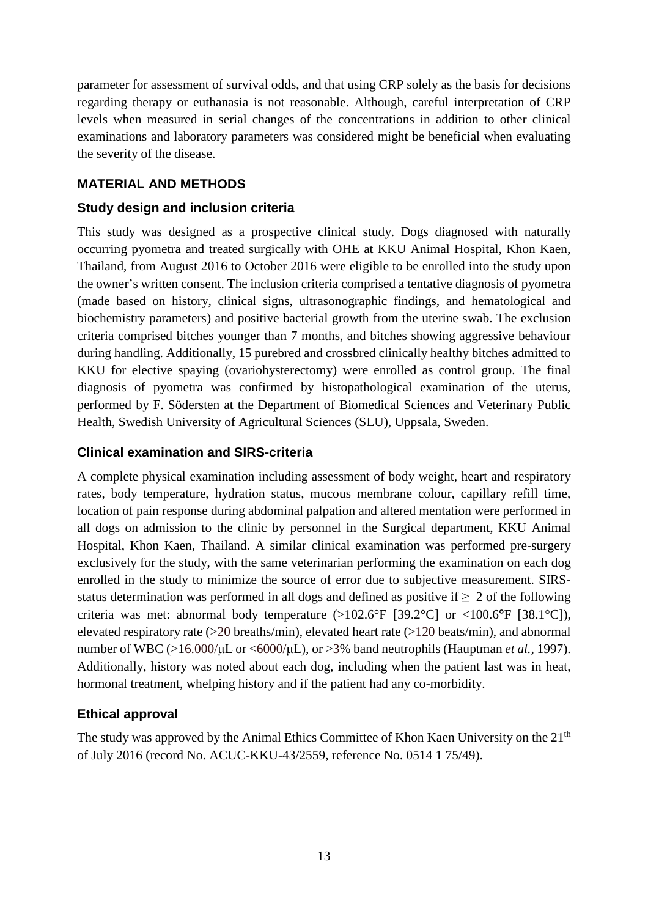parameter for assessment of survival odds, and that using CRP solely as the basis for decisions regarding therapy or euthanasia is not reasonable. Although, careful interpretation of CRP levels when measured in serial changes of the concentrations in addition to other clinical examinations and laboratory parameters was considered might be beneficial when evaluating the severity of the disease.

# **MATERIAL AND METHODS**

## **Study design and inclusion criteria**

This study was designed as a prospective clinical study. Dogs diagnosed with naturally occurring pyometra and treated surgically with OHE at KKU Animal Hospital, Khon Kaen, Thailand, from August 2016 to October 2016 were eligible to be enrolled into the study upon the owner's written consent. The inclusion criteria comprised a tentative diagnosis of pyometra (made based on history, clinical signs, ultrasonographic findings, and hematological and biochemistry parameters) and positive bacterial growth from the uterine swab. The exclusion criteria comprised bitches younger than 7 months, and bitches showing aggressive behaviour during handling. Additionally, 15 purebred and crossbred clinically healthy bitches admitted to KKU for elective spaying (ovariohysterectomy) were enrolled as control group. The final diagnosis of pyometra was confirmed by histopathological examination of the uterus, performed by F. Södersten at the Department of Biomedical Sciences and Veterinary Public Health, Swedish University of Agricultural Sciences (SLU), Uppsala, Sweden.

## **Clinical examination and SIRS-criteria**

A complete physical examination including assessment of body weight, heart and respiratory rates, body temperature, hydration status, mucous membrane colour, capillary refill time, location of pain response during abdominal palpation and altered mentation were performed in all dogs on admission to the clinic by personnel in the Surgical department, KKU Animal Hospital, Khon Kaen, Thailand. A similar clinical examination was performed pre-surgery exclusively for the study, with the same veterinarian performing the examination on each dog enrolled in the study to minimize the source of error due to subjective measurement. SIRSstatus determination was performed in all dogs and defined as positive if  $\geq 2$  of the following criteria was met: abnormal body temperature (>102.6°F [39.2°C] or <100.6**°**F [38.1°C]), elevated respiratory rate (>20 breaths/min), elevated heart rate (>120 beats/min), and abnormal number of WBC (>16.000/μL or <6000/μL), or >3% band neutrophils (Hauptman *et al.,* 1997). Additionally, history was noted about each dog, including when the patient last was in heat, hormonal treatment, whelping history and if the patient had any co-morbidity.

## **Ethical approval**

The study was approved by the Animal Ethics Committee of Khon Kaen University on the 21<sup>th</sup> of July 2016 (record No. ACUC-KKU-43/2559, reference No. 0514 1 75/49).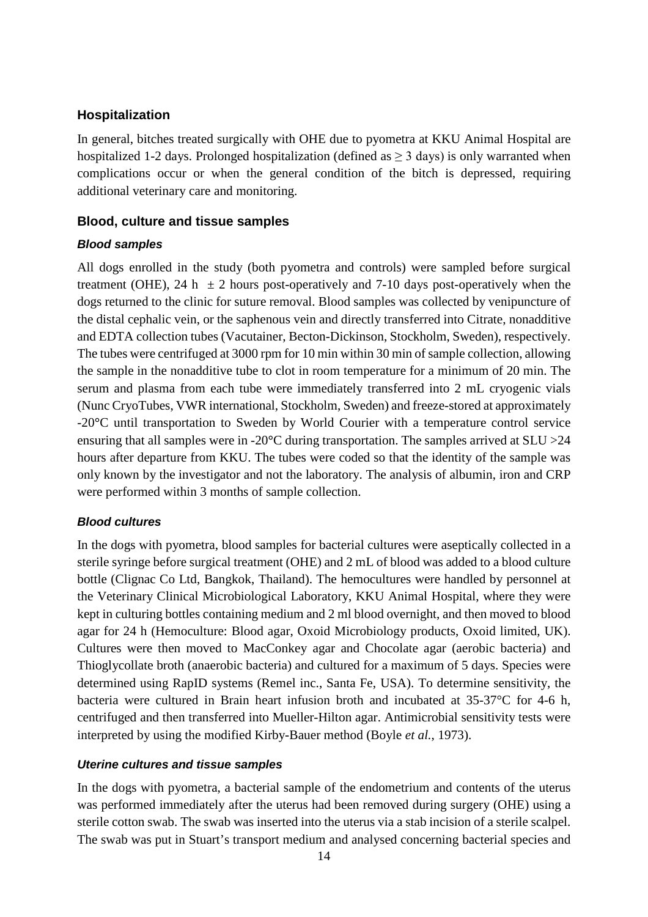### **Hospitalization**

In general, bitches treated surgically with OHE due to pyometra at KKU Animal Hospital are hospitalized 1-2 days. Prolonged hospitalization (defined as  $\geq$  3 days) is only warranted when complications occur or when the general condition of the bitch is depressed, requiring additional veterinary care and monitoring.

### **Blood, culture and tissue samples**

#### *Blood samples*

All dogs enrolled in the study (both pyometra and controls) were sampled before surgical treatment (OHE), 24 h  $\pm$  2 hours post-operatively and 7-10 days post-operatively when the dogs returned to the clinic for suture removal. Blood samples was collected by venipuncture of the distal cephalic vein, or the saphenous vein and directly transferred into Citrate, nonadditive and EDTA collection tubes (Vacutainer, Becton-Dickinson, Stockholm, Sweden), respectively. The tubes were centrifuged at 3000 rpm for 10 min within 30 min of sample collection, allowing the sample in the nonadditive tube to clot in room temperature for a minimum of 20 min. The serum and plasma from each tube were immediately transferred into 2 mL cryogenic vials (Nunc CryoTubes, VWR international, Stockholm, Sweden) and freeze-stored at approximately -20**°**C until transportation to Sweden by World Courier with a temperature control service ensuring that all samples were in -20**°**C during transportation. The samples arrived at SLU >24 hours after departure from KKU. The tubes were coded so that the identity of the sample was only known by the investigator and not the laboratory. The analysis of albumin, iron and CRP were performed within 3 months of sample collection.

#### *Blood cultures*

In the dogs with pyometra, blood samples for bacterial cultures were aseptically collected in a sterile syringe before surgical treatment (OHE) and 2 mL of blood was added to a blood culture bottle (Clignac Co Ltd, Bangkok, Thailand). The hemocultures were handled by personnel at the Veterinary Clinical Microbiological Laboratory, KKU Animal Hospital, where they were kept in culturing bottles containing medium and 2 ml blood overnight, and then moved to blood agar for 24 h (Hemoculture: Blood agar, Oxoid Microbiology products, Oxoid limited, UK). Cultures were then moved to MacConkey agar and Chocolate agar (aerobic bacteria) and Thioglycollate broth (anaerobic bacteria) and cultured for a maximum of 5 days. Species were determined using RapID systems (Remel inc., Santa Fe, USA). To determine sensitivity, the bacteria were cultured in Brain heart infusion broth and incubated at 35-37°C for 4-6 h, centrifuged and then transferred into Mueller-Hilton agar. Antimicrobial sensitivity tests were interpreted by using the modified Kirby-Bauer method (Boyle *et al.*, 1973).

#### *Uterine cultures and tissue samples*

In the dogs with pyometra, a bacterial sample of the endometrium and contents of the uterus was performed immediately after the uterus had been removed during surgery (OHE) using a sterile cotton swab. The swab was inserted into the uterus via a stab incision of a sterile scalpel. The swab was put in Stuart's transport medium and analysed concerning bacterial species and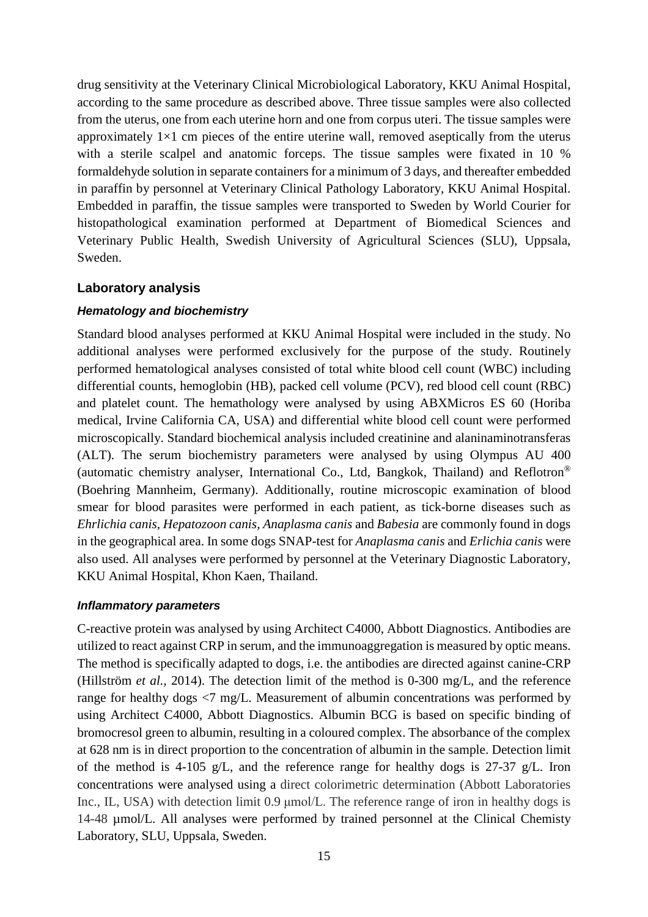drug sensitivity at the Veterinary Clinical Microbiological Laboratory, KKU Animal Hospital, according to the same procedure as described above. Three tissue samples were also collected from the uterus, one from each uterine horn and one from corpus uteri. The tissue samples were approximately  $1\times1$  cm pieces of the entire uterine wall, removed aseptically from the uterus with a sterile scalpel and anatomic forceps. The tissue samples were fixated in 10 % formaldehyde solution in separate containers for a minimum of 3 days, and thereafter embedded in paraffin by personnel at Veterinary Clinical Pathology Laboratory, KKU Animal Hospital. Embedded in paraffin, the tissue samples were transported to Sweden by World Courier for histopathological examination performed at Department of Biomedical Sciences and Veterinary Public Health, Swedish University of Agricultural Sciences (SLU), Uppsala, Sweden.

#### **Laboratory analysis**

#### *Hematology and biochemistry*

Standard blood analyses performed at KKU Animal Hospital were included in the study. No additional analyses were performed exclusively for the purpose of the study. Routinely performed hematological analyses consisted of total white blood cell count (WBC) including differential counts, hemoglobin (HB), packed cell volume (PCV), red blood cell count (RBC) and platelet count. The hemathology were analysed by using ABXMicros ES 60 (Horiba medical, Irvine California CA, USA) and differential white blood cell count were performed microscopically. Standard biochemical analysis included creatinine and alaninaminotransferas (ALT). The serum biochemistry parameters were analysed by using Olympus AU 400 (automatic chemistry analyser, International Co., Ltd, Bangkok, Thailand) and Reflotron® (Boehring Mannheim, Germany). Additionally, routine microscopic examination of blood smear for blood parasites were performed in each patient, as tick-borne diseases such as *Ehrlichia canis, Hepatozoon canis, Anaplasma canis* and *Babesia* are commonly found in dogs in the geographical area. In some dogs SNAP-test for *Anaplasma canis* and *Erlichia canis* were also used. All analyses were performed by personnel at the Veterinary Diagnostic Laboratory, KKU Animal Hospital, Khon Kaen, Thailand.

#### *Inflammatory parameters*

C-reactive protein was analysed by using Architect C4000, Abbott Diagnostics. Antibodies are utilized to react against CRP in serum, and the immunoaggregation is measured by optic means. The method is specifically adapted to dogs, i.e. the antibodies are directed against canine-CRP (Hillström *et al.,* 2014). The detection limit of the method is 0-300 mg/L, and the reference range for healthy dogs <7 mg/L. Measurement of albumin concentrations was performed by using Architect C4000, Abbott Diagnostics. Albumin BCG is based on specific binding of bromocresol green to albumin, resulting in a coloured complex. The absorbance of the complex at 628 nm is in direct proportion to the concentration of albumin in the sample. Detection limit of the method is 4-105 g/L, and the reference range for healthy dogs is 27-37 g/L. Iron concentrations were analysed using a direct colorimetric determination (Abbott Laboratories Inc., IL, USA) with detection limit 0.9 μmol/L. The reference range of iron in healthy dogs is 14-48 µmol/L. All analyses were performed by trained personnel at the Clinical Chemisty Laboratory, SLU, Uppsala, Sweden.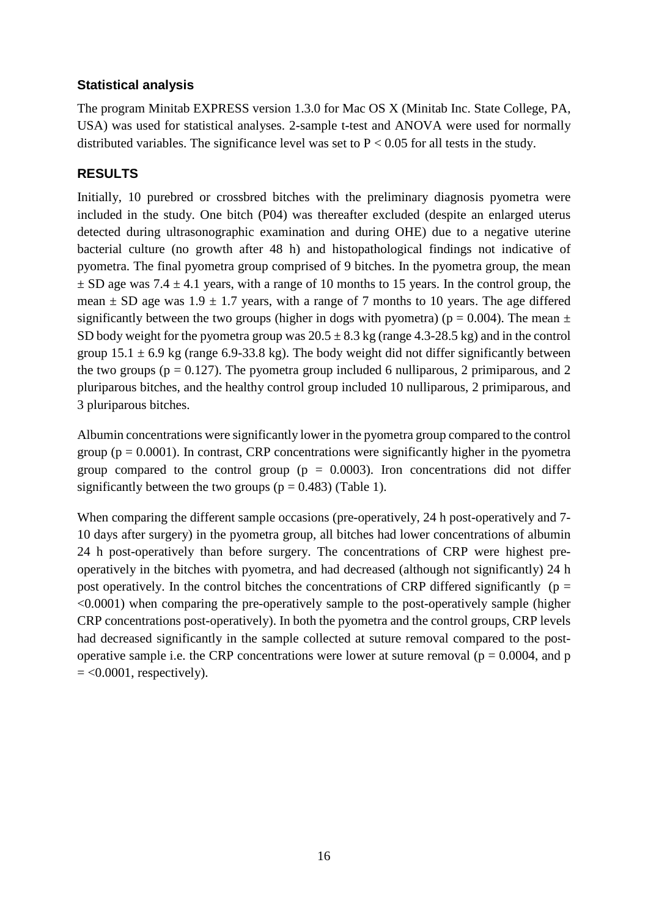# **Statistical analysis**

The program Minitab EXPRESS version 1.3.0 for Mac OS X (Minitab Inc. State College, PA, USA) was used for statistical analyses. 2-sample t-test and ANOVA were used for normally distributed variables. The significance level was set to  $P < 0.05$  for all tests in the study.

# **RESULTS**

Initially, 10 purebred or crossbred bitches with the preliminary diagnosis pyometra were included in the study. One bitch (P04) was thereafter excluded (despite an enlarged uterus detected during ultrasonographic examination and during OHE) due to a negative uterine bacterial culture (no growth after 48 h) and histopathological findings not indicative of pyometra. The final pyometra group comprised of 9 bitches. In the pyometra group, the mean  $\pm$  SD age was 7.4  $\pm$  4.1 years, with a range of 10 months to 15 years. In the control group, the mean  $\pm$  SD age was 1.9  $\pm$  1.7 years, with a range of 7 months to 10 years. The age differed significantly between the two groups (higher in dogs with pyometra) ( $p = 0.004$ ). The mean  $\pm$ SD body weight for the pyometra group was  $20.5 \pm 8.3$  kg (range 4.3-28.5 kg) and in the control group  $15.1 \pm 6.9$  kg (range 6.9-33.8 kg). The body weight did not differ significantly between the two groups ( $p = 0.127$ ). The pyometra group included 6 nulliparous, 2 primiparous, and 2 pluriparous bitches, and the healthy control group included 10 nulliparous, 2 primiparous, and 3 pluriparous bitches.

Albumin concentrations were significantly lower in the pyometra group compared to the control group ( $p = 0.0001$ ). In contrast, CRP concentrations were significantly higher in the pyometra group compared to the control group ( $p = 0.0003$ ). Iron concentrations did not differ significantly between the two groups ( $p = 0.483$ ) (Table 1).

When comparing the different sample occasions (pre-operatively, 24 h post-operatively and 7-10 days after surgery) in the pyometra group, all bitches had lower concentrations of albumin 24 h post-operatively than before surgery. The concentrations of CRP were highest preoperatively in the bitches with pyometra, and had decreased (although not significantly) 24 h post operatively. In the control bitches the concentrations of CRP differed significantly ( $p =$ <0.0001) when comparing the pre-operatively sample to the post-operatively sample (higher CRP concentrations post-operatively). In both the pyometra and the control groups, CRP levels had decreased significantly in the sample collected at suture removal compared to the postoperative sample i.e. the CRP concentrations were lower at suture removal ( $p = 0.0004$ , and p  $=$  <0.0001, respectively).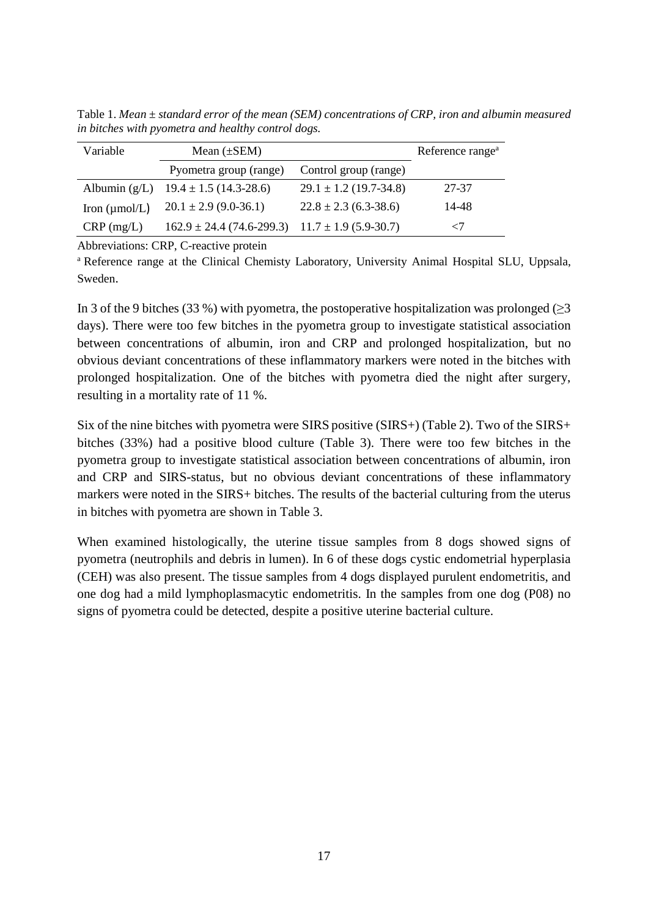| Variable                  | Mean $(\pm$ SEM $)$                                         |                            | Reference range <sup>a</sup> |
|---------------------------|-------------------------------------------------------------|----------------------------|------------------------------|
|                           | Pyometra group (range)                                      | Control group (range)      |                              |
|                           | Albumin (g/L) $19.4 \pm 1.5$ (14.3-28.6)                    | $29.1 \pm 1.2$ (19.7-34.8) | 27-37                        |
| Iron $(\mu \text{mol/L})$ | $20.1 \pm 2.9$ (9.0-36.1)                                   | $22.8 \pm 2.3$ (6.3-38.6)  | 14-48                        |
| $CRP$ (mg/L)              | $162.9 \pm 24.4 (74.6 - 299.3)$ $11.7 \pm 1.9 (5.9 - 30.7)$ |                            | <7                           |

Table 1. *Mean ± standard error of the mean (SEM) concentrations of CRP, iron and albumin measured in bitches with pyometra and healthy control dogs.* 

Abbreviations: CRP, C-reactive protein

<sup>a</sup> Reference range at the Clinical Chemisty Laboratory, University Animal Hospital SLU, Uppsala, Sweden.

In 3 of the 9 bitches (33 %) with pyometra, the postoperative hospitalization was prolonged ( $\geq$ 3 days). There were too few bitches in the pyometra group to investigate statistical association between concentrations of albumin, iron and CRP and prolonged hospitalization, but no obvious deviant concentrations of these inflammatory markers were noted in the bitches with prolonged hospitalization. One of the bitches with pyometra died the night after surgery, resulting in a mortality rate of 11 %.

Six of the nine bitches with pyometra were SIRS positive (SIRS+) (Table 2). Two of the SIRS+ bitches (33%) had a positive blood culture (Table 3). There were too few bitches in the pyometra group to investigate statistical association between concentrations of albumin, iron and CRP and SIRS-status, but no obvious deviant concentrations of these inflammatory markers were noted in the SIRS+ bitches. The results of the bacterial culturing from the uterus in bitches with pyometra are shown in Table 3.

When examined histologically, the uterine tissue samples from 8 dogs showed signs of pyometra (neutrophils and debris in lumen). In 6 of these dogs cystic endometrial hyperplasia (CEH) was also present. The tissue samples from 4 dogs displayed purulent endometritis, and one dog had a mild lymphoplasmacytic endometritis. In the samples from one dog (P08) no signs of pyometra could be detected, despite a positive uterine bacterial culture.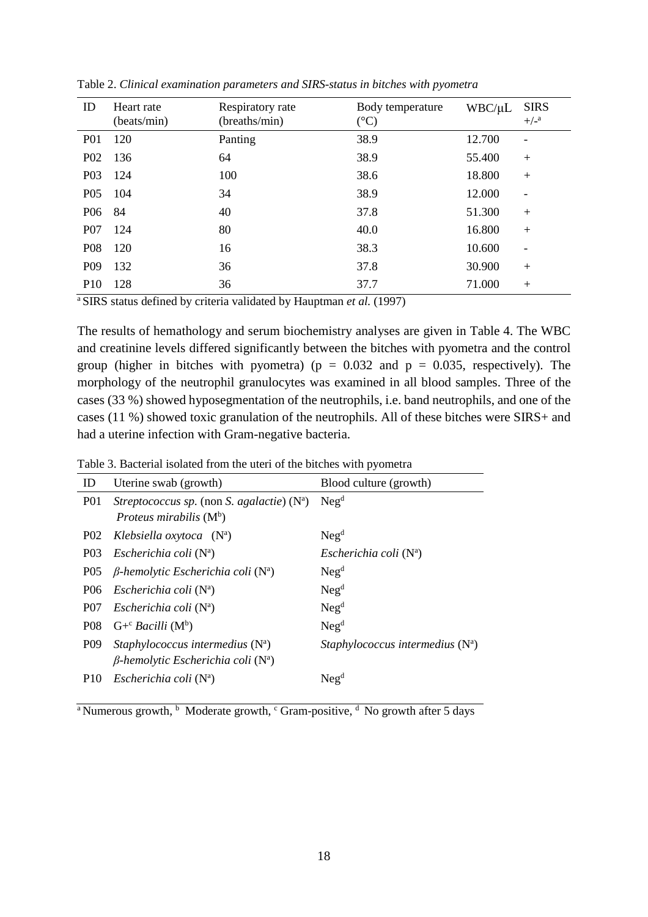| ID               | Heart rate<br>(beats/min) | Respiratory rate<br>(breaths/min) | Body temperature<br>$({}^\circ\mathrm{C})$ | WBC/µL | <b>SIRS</b><br>$+/-a$    |
|------------------|---------------------------|-----------------------------------|--------------------------------------------|--------|--------------------------|
| P <sub>0</sub> 1 | 120                       | Panting                           | 38.9                                       | 12.700 | $\overline{\phantom{a}}$ |
| <b>P02</b>       | 136                       | 64                                | 38.9                                       | 55.400 | $+$                      |
| P <sub>0</sub> 3 | 124                       | 100                               | 38.6                                       | 18.800 | $+$                      |
| <b>P05</b>       | 104                       | 34                                | 38.9                                       | 12.000 |                          |
| P <sub>06</sub>  | 84                        | 40                                | 37.8                                       | 51.300 | $+$                      |
| <b>P07</b>       | 124                       | 80                                | 40.0                                       | 16.800 | $+$                      |
| P <sub>08</sub>  | 120                       | 16                                | 38.3                                       | 10.600 | $\overline{\phantom{a}}$ |
| P <sub>09</sub>  | 132                       | 36                                | 37.8                                       | 30.900 | $+$                      |
| P <sub>10</sub>  | 128                       | 36                                | 37.7                                       | 71.000 | $+$                      |

Table 2. *Clinical examination parameters and SIRS-status in bitches with pyometra*

a SIRS status defined by criteria validated by Hauptman *et al.* (1997)

The results of hemathology and serum biochemistry analyses are given in Table 4. The WBC and creatinine levels differed significantly between the bitches with pyometra and the control group (higher in bitches with pyometra) ( $p = 0.032$  and  $p = 0.035$ , respectively). The morphology of the neutrophil granulocytes was examined in all blood samples. Three of the cases (33 %) showed hyposegmentation of the neutrophils, i.e. band neutrophils, and one of the cases (11 %) showed toxic granulation of the neutrophils. All of these bitches were SIRS+ and had a uterine infection with Gram-negative bacteria.

| Table 3. Bacterial isolated from the uteri of the bitches with pyometra |
|-------------------------------------------------------------------------|
|-------------------------------------------------------------------------|

| ID               | Uterine swab (growth)                                 | Blood culture (growth)             |
|------------------|-------------------------------------------------------|------------------------------------|
| <b>P01</b>       | Streptococcus sp. (non S. agalactie) $(N^a)$          | Neg <sup>d</sup>                   |
|                  | <i>Proteus mirabilis</i> $(M^b)$                      |                                    |
| P <sub>0</sub> 2 | Klebsiella oxytoca $(N^a)$                            | Neg <sup>d</sup>                   |
| P <sub>0</sub> 3 | <i>Escherichia coli</i> $(N^a)$                       | <i>Escherichia coli</i> $(N^a)$    |
| P <sub>05</sub>  | $\beta$ -hemolytic Escherichia coli (N <sup>a</sup> ) | Neg <sup>d</sup>                   |
| P <sub>06</sub>  | <i>Escherichia coli</i> $(N^a)$                       | Neg <sup>d</sup>                   |
| <b>P07</b>       | <i>Escherichia coli</i> $(N^a)$                       | Neg <sup>d</sup>                   |
| <b>P08</b>       | $G^{c}$ Bacilli (M <sup>b</sup> )                     | Neg <sup>d</sup>                   |
| P <sub>09</sub>  | Staphylococcus intermedius $(N^a)$                    | Staphylococcus intermedius $(N^a)$ |
|                  | $\beta$ -hemolytic Escherichia coli (N <sup>a</sup> ) |                                    |
| <b>P10</b>       | Escherichia coli $(N^a)$                              | Neq <sup>d</sup>                   |

<sup>a</sup> Numerous growth,  $\frac{b}{n}$  Moderate growth,  $\frac{c}{n}$  Gram-positive,  $\frac{d}{n}$  No growth after 5 days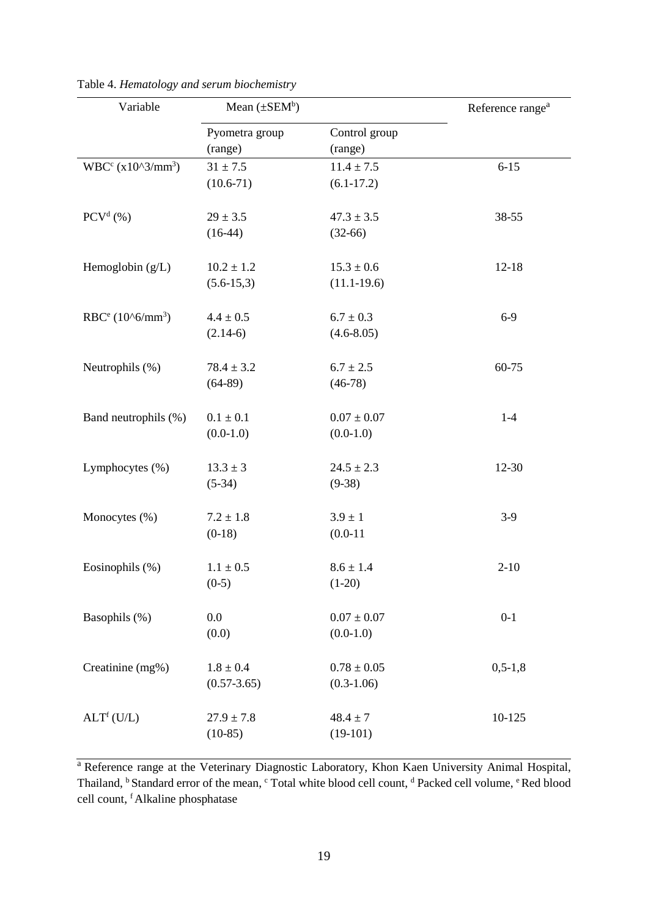| Variable                                                               | Mean $(\pm$ SEM <sup>b</sup> ) |                 | Reference range <sup>a</sup> |
|------------------------------------------------------------------------|--------------------------------|-----------------|------------------------------|
|                                                                        | Pyometra group                 | Control group   |                              |
|                                                                        | (range)                        | (range)         |                              |
| $WBC^{c} (x10^{3}/mm^{3})$                                             | $31 \pm 7.5$                   | $11.4 \pm 7.5$  | $6 - 15$                     |
|                                                                        | $(10.6-71)$                    | $(6.1-17.2)$    |                              |
|                                                                        |                                |                 |                              |
| $PCV^d$ (%)                                                            | $29 \pm 3.5$                   | $47.3 \pm 3.5$  | 38-55                        |
|                                                                        | $(16-44)$                      | $(32-66)$       |                              |
|                                                                        |                                |                 |                              |
| Hemoglobin (g/L)                                                       | $10.2 \pm 1.2$                 | $15.3 \pm 0.6$  | $12-18$                      |
|                                                                        | $(5.6-15,3)$                   | $(11.1-19.6)$   |                              |
| $RBC^{e} (10^{6}/mm^{3})$                                              | $4.4 \pm 0.5$                  | $6.7 \pm 0.3$   | $6-9$                        |
|                                                                        |                                | $(4.6 - 8.05)$  |                              |
|                                                                        | $(2.14-6)$                     |                 |                              |
| Neutrophils (%)                                                        | $78.4 \pm 3.2$                 | $6.7 \pm 2.5$   | 60-75                        |
|                                                                        | $(64-89)$                      | $(46-78)$       |                              |
|                                                                        |                                |                 |                              |
| Band neutrophils (%)                                                   | $0.1 \pm 0.1$                  | $0.07 \pm 0.07$ | $1-4$                        |
|                                                                        | $(0.0-1.0)$                    | $(0.0-1.0)$     |                              |
|                                                                        |                                |                 |                              |
| Lymphocytes (%)                                                        | $13.3 \pm 3$                   | $24.5 \pm 2.3$  | 12-30                        |
|                                                                        | $(5-34)$                       | $(9-38)$        |                              |
|                                                                        |                                |                 |                              |
| Monocytes (%)                                                          | $7.2 \pm 1.8$                  | $3.9 \pm 1$     | $3-9$                        |
|                                                                        | $(0-18)$                       | $(0.0 - 11)$    |                              |
|                                                                        |                                |                 |                              |
| Eosinophils (%)                                                        | $1.1 \pm 0.5$                  | $8.6 \pm 1.4$   | $2 - 10$                     |
|                                                                        | $(0-5)$                        | $(1-20)$        |                              |
|                                                                        |                                |                 |                              |
| Basophils (%)                                                          | 0.0                            | $0.07 \pm 0.07$ | $0 - 1$                      |
|                                                                        | (0.0)                          | $(0.0-1.0)$     |                              |
| Creatinine (mg%)                                                       | $1.8 \pm 0.4$                  | $0.78 \pm 0.05$ | $0, 5 - 1, 8$                |
|                                                                        | $(0.57 - 3.65)$                | $(0.3-1.06)$    |                              |
|                                                                        |                                |                 |                              |
| $\operatorname{ALT}^{\operatorname{f}}\left(\operatorname{U/L}\right)$ | $27.9 \pm 7.8$                 | $48.4 \pm 7$    | 10-125                       |
|                                                                        | $(10-85)$                      | $(19-101)$      |                              |
|                                                                        |                                |                 |                              |

Table 4. *Hematology and serum biochemistry*

<sup>a</sup> Reference range at the Veterinary Diagnostic Laboratory, Khon Kaen University Animal Hospital, Thailand, <sup>b</sup> Standard error of the mean, <sup>c</sup> Total white blood cell count, <sup>d</sup> Packed cell volume, <sup>e</sup> Red blood cell count, f Alkaline phosphatase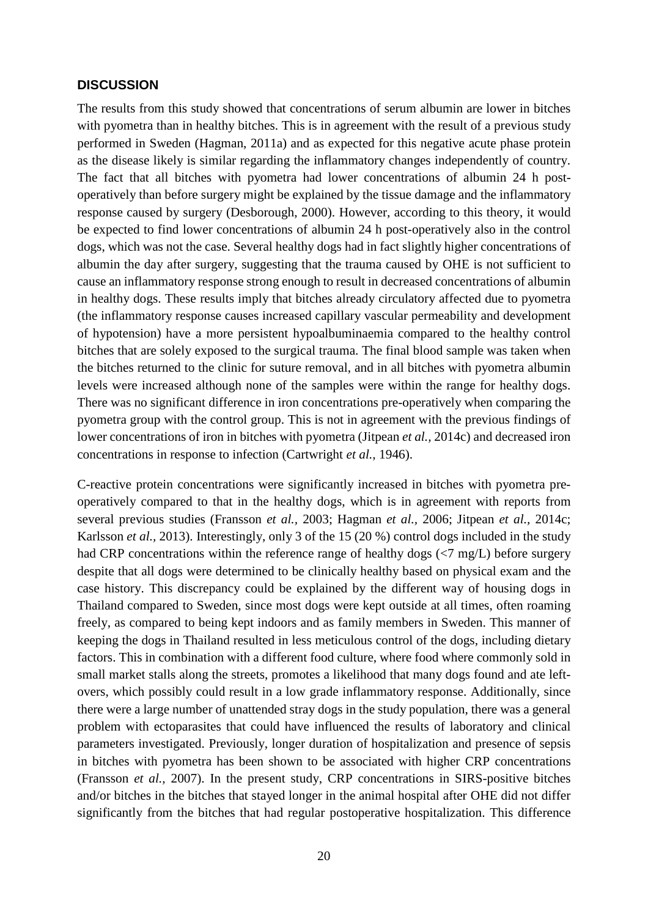### **DISCUSSION**

The results from this study showed that concentrations of serum albumin are lower in bitches with pyometra than in healthy bitches. This is in agreement with the result of a previous study performed in Sweden (Hagman, 2011a) and as expected for this negative acute phase protein as the disease likely is similar regarding the inflammatory changes independently of country. The fact that all bitches with pyometra had lower concentrations of albumin 24 h postoperatively than before surgery might be explained by the tissue damage and the inflammatory response caused by surgery (Desborough, 2000). However, according to this theory, it would be expected to find lower concentrations of albumin 24 h post-operatively also in the control dogs, which was not the case. Several healthy dogs had in fact slightly higher concentrations of albumin the day after surgery, suggesting that the trauma caused by OHE is not sufficient to cause an inflammatory response strong enough to result in decreased concentrations of albumin in healthy dogs. These results imply that bitches already circulatory affected due to pyometra (the inflammatory response causes increased capillary vascular permeability and development of hypotension) have a more persistent hypoalbuminaemia compared to the healthy control bitches that are solely exposed to the surgical trauma. The final blood sample was taken when the bitches returned to the clinic for suture removal, and in all bitches with pyometra albumin levels were increased although none of the samples were within the range for healthy dogs. There was no significant difference in iron concentrations pre-operatively when comparing the pyometra group with the control group. This is not in agreement with the previous findings of lower concentrations of iron in bitches with pyometra (Jitpean *et al.,* 2014c) and decreased iron concentrations in response to infection (Cartwright *et al.,* 1946).

C-reactive protein concentrations were significantly increased in bitches with pyometra preoperatively compared to that in the healthy dogs, which is in agreement with reports from several previous studies (Fransson *et al.,* 2003; Hagman *et al.,* 2006; Jitpean *et al.,* 2014c; Karlsson *et al.,* 2013). Interestingly, only 3 of the 15 (20 %) control dogs included in the study had CRP concentrations within the reference range of healthy dogs  $\langle \langle 7 \text{ mg/L} \rangle$  before surgery despite that all dogs were determined to be clinically healthy based on physical exam and the case history. This discrepancy could be explained by the different way of housing dogs in Thailand compared to Sweden, since most dogs were kept outside at all times, often roaming freely, as compared to being kept indoors and as family members in Sweden. This manner of keeping the dogs in Thailand resulted in less meticulous control of the dogs, including dietary factors. This in combination with a different food culture, where food where commonly sold in small market stalls along the streets, promotes a likelihood that many dogs found and ate leftovers, which possibly could result in a low grade inflammatory response. Additionally, since there were a large number of unattended stray dogs in the study population, there was a general problem with ectoparasites that could have influenced the results of laboratory and clinical parameters investigated. Previously, longer duration of hospitalization and presence of sepsis in bitches with pyometra has been shown to be associated with higher CRP concentrations (Fransson *et al.,* 2007). In the present study, CRP concentrations in SIRS-positive bitches and/or bitches in the bitches that stayed longer in the animal hospital after OHE did not differ significantly from the bitches that had regular postoperative hospitalization. This difference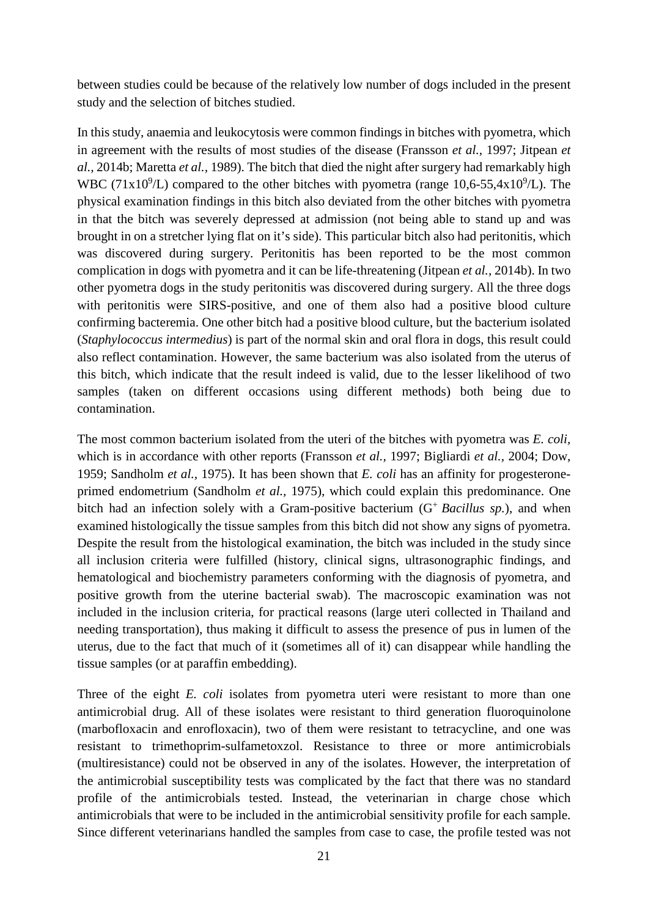between studies could be because of the relatively low number of dogs included in the present study and the selection of bitches studied.

In this study, anaemia and leukocytosis were common findings in bitches with pyometra, which in agreement with the results of most studies of the disease (Fransson *et al.,* 1997; Jitpean *et al.,* 2014b; Maretta *et al.,* 1989). The bitch that died the night after surgery had remarkably high WBC (71x10<sup>9</sup>/L) compared to the other bitches with pyometra (range 10,6-55,4x10<sup>9</sup>/L). The physical examination findings in this bitch also deviated from the other bitches with pyometra in that the bitch was severely depressed at admission (not being able to stand up and was brought in on a stretcher lying flat on it's side). This particular bitch also had peritonitis, which was discovered during surgery. Peritonitis has been reported to be the most common complication in dogs with pyometra and it can be life-threatening (Jitpean *et al.,* 2014b). In two other pyometra dogs in the study peritonitis was discovered during surgery. All the three dogs with peritonitis were SIRS-positive, and one of them also had a positive blood culture confirming bacteremia. One other bitch had a positive blood culture, but the bacterium isolated (*Staphylococcus intermedius*) is part of the normal skin and oral flora in dogs, this result could also reflect contamination. However, the same bacterium was also isolated from the uterus of this bitch, which indicate that the result indeed is valid, due to the lesser likelihood of two samples (taken on different occasions using different methods) both being due to contamination.

The most common bacterium isolated from the uteri of the bitches with pyometra was *E. coli,*  which is in accordance with other reports (Fransson *et al.,* 1997; Bigliardi *et al.,* 2004; Dow, 1959; Sandholm *et al.,* 1975). It has been shown that *E. coli* has an affinity for progesteroneprimed endometrium (Sandholm *et al.,* 1975), which could explain this predominance. One bitch had an infection solely with a Gram-positive bacterium (G+ *Bacillus sp.*), and when examined histologically the tissue samples from this bitch did not show any signs of pyometra. Despite the result from the histological examination, the bitch was included in the study since all inclusion criteria were fulfilled (history, clinical signs, ultrasonographic findings, and hematological and biochemistry parameters conforming with the diagnosis of pyometra, and positive growth from the uterine bacterial swab). The macroscopic examination was not included in the inclusion criteria, for practical reasons (large uteri collected in Thailand and needing transportation), thus making it difficult to assess the presence of pus in lumen of the uterus, due to the fact that much of it (sometimes all of it) can disappear while handling the tissue samples (or at paraffin embedding).

Three of the eight *E. coli* isolates from pyometra uteri were resistant to more than one antimicrobial drug. All of these isolates were resistant to third generation fluoroquinolone (marbofloxacin and enrofloxacin), two of them were resistant to tetracycline, and one was resistant to trimethoprim-sulfametoxzol. Resistance to three or more antimicrobials (multiresistance) could not be observed in any of the isolates. However, the interpretation of the antimicrobial susceptibility tests was complicated by the fact that there was no standard profile of the antimicrobials tested. Instead, the veterinarian in charge chose which antimicrobials that were to be included in the antimicrobial sensitivity profile for each sample. Since different veterinarians handled the samples from case to case, the profile tested was not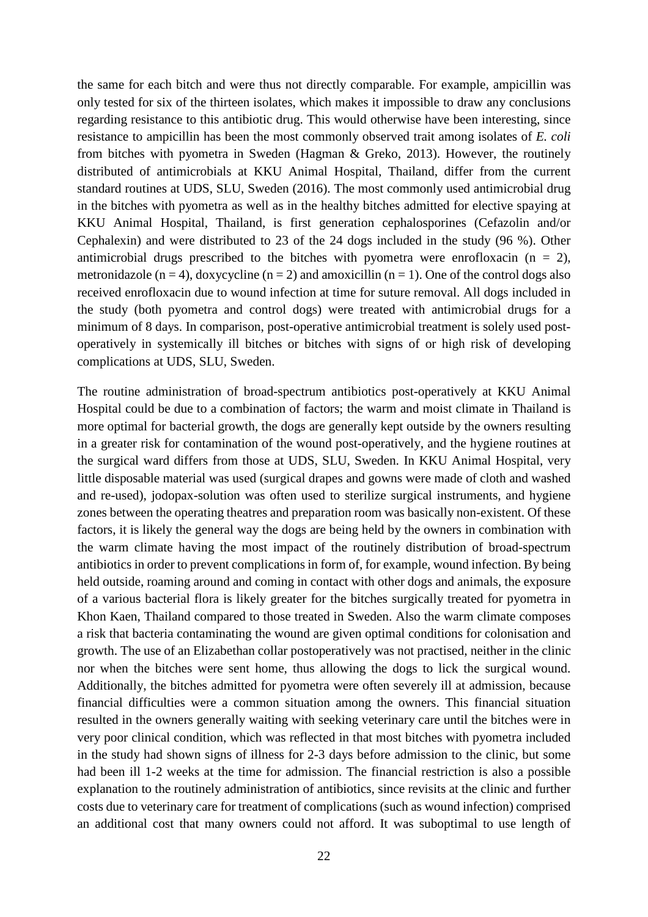the same for each bitch and were thus not directly comparable. For example, ampicillin was only tested for six of the thirteen isolates, which makes it impossible to draw any conclusions regarding resistance to this antibiotic drug. This would otherwise have been interesting, since resistance to ampicillin has been the most commonly observed trait among isolates of *E. coli*  from bitches with pyometra in Sweden (Hagman & Greko, 2013). However, the routinely distributed of antimicrobials at KKU Animal Hospital, Thailand, differ from the current standard routines at UDS, SLU, Sweden (2016). The most commonly used antimicrobial drug in the bitches with pyometra as well as in the healthy bitches admitted for elective spaying at KKU Animal Hospital, Thailand, is first generation cephalosporines (Cefazolin and/or Cephalexin) and were distributed to 23 of the 24 dogs included in the study (96 %). Other antimicrobial drugs prescribed to the bitches with pyometra were enrofloxacin  $(n = 2)$ , metronidazole ( $n = 4$ ), doxycycline ( $n = 2$ ) and amoxicillin ( $n = 1$ ). One of the control dogs also received enrofloxacin due to wound infection at time for suture removal. All dogs included in the study (both pyometra and control dogs) were treated with antimicrobial drugs for a minimum of 8 days. In comparison, post-operative antimicrobial treatment is solely used postoperatively in systemically ill bitches or bitches with signs of or high risk of developing complications at UDS, SLU, Sweden.

The routine administration of broad-spectrum antibiotics post-operatively at KKU Animal Hospital could be due to a combination of factors; the warm and moist climate in Thailand is more optimal for bacterial growth, the dogs are generally kept outside by the owners resulting in a greater risk for contamination of the wound post-operatively, and the hygiene routines at the surgical ward differs from those at UDS, SLU, Sweden. In KKU Animal Hospital, very little disposable material was used (surgical drapes and gowns were made of cloth and washed and re-used), jodopax-solution was often used to sterilize surgical instruments, and hygiene zones between the operating theatres and preparation room was basically non-existent. Of these factors, it is likely the general way the dogs are being held by the owners in combination with the warm climate having the most impact of the routinely distribution of broad-spectrum antibiotics in order to prevent complications in form of, for example, wound infection. By being held outside, roaming around and coming in contact with other dogs and animals, the exposure of a various bacterial flora is likely greater for the bitches surgically treated for pyometra in Khon Kaen, Thailand compared to those treated in Sweden. Also the warm climate composes a risk that bacteria contaminating the wound are given optimal conditions for colonisation and growth. The use of an Elizabethan collar postoperatively was not practised, neither in the clinic nor when the bitches were sent home, thus allowing the dogs to lick the surgical wound. Additionally, the bitches admitted for pyometra were often severely ill at admission, because financial difficulties were a common situation among the owners. This financial situation resulted in the owners generally waiting with seeking veterinary care until the bitches were in very poor clinical condition, which was reflected in that most bitches with pyometra included in the study had shown signs of illness for 2-3 days before admission to the clinic, but some had been ill 1-2 weeks at the time for admission. The financial restriction is also a possible explanation to the routinely administration of antibiotics, since revisits at the clinic and further costs due to veterinary care for treatment of complications (such as wound infection) comprised an additional cost that many owners could not afford. It was suboptimal to use length of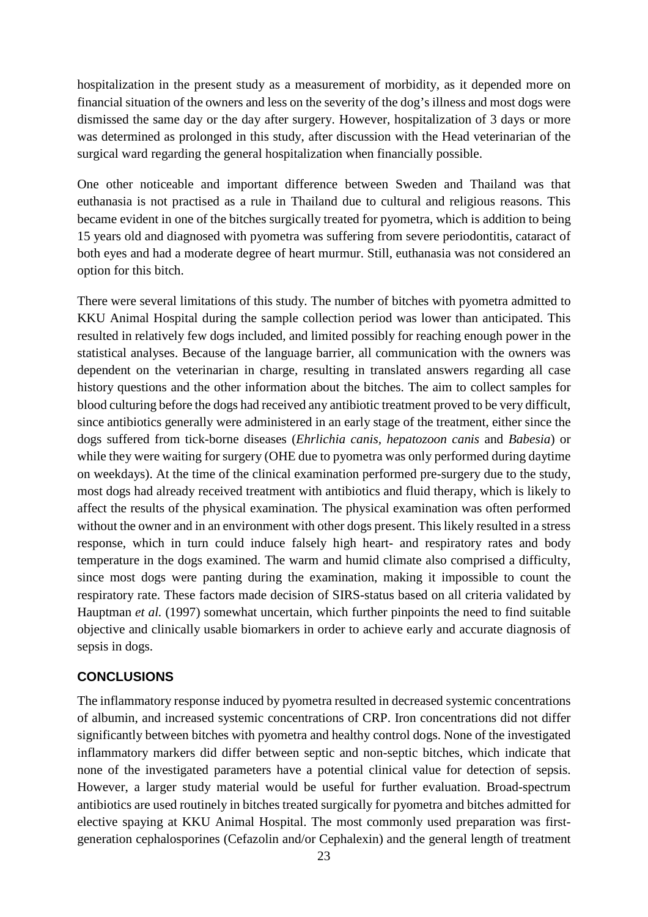hospitalization in the present study as a measurement of morbidity, as it depended more on financial situation of the owners and less on the severity of the dog's illness and most dogs were dismissed the same day or the day after surgery. However, hospitalization of 3 days or more was determined as prolonged in this study, after discussion with the Head veterinarian of the surgical ward regarding the general hospitalization when financially possible.

One other noticeable and important difference between Sweden and Thailand was that euthanasia is not practised as a rule in Thailand due to cultural and religious reasons. This became evident in one of the bitches surgically treated for pyometra, which is addition to being 15 years old and diagnosed with pyometra was suffering from severe periodontitis, cataract of both eyes and had a moderate degree of heart murmur. Still, euthanasia was not considered an option for this bitch.

There were several limitations of this study. The number of bitches with pyometra admitted to KKU Animal Hospital during the sample collection period was lower than anticipated. This resulted in relatively few dogs included, and limited possibly for reaching enough power in the statistical analyses. Because of the language barrier, all communication with the owners was dependent on the veterinarian in charge, resulting in translated answers regarding all case history questions and the other information about the bitches. The aim to collect samples for blood culturing before the dogs had received any antibiotic treatment proved to be very difficult, since antibiotics generally were administered in an early stage of the treatment, either since the dogs suffered from tick-borne diseases (*Ehrlichia canis, hepatozoon canis* and *Babesia*) or while they were waiting for surgery (OHE due to pyometra was only performed during daytime on weekdays). At the time of the clinical examination performed pre-surgery due to the study, most dogs had already received treatment with antibiotics and fluid therapy, which is likely to affect the results of the physical examination. The physical examination was often performed without the owner and in an environment with other dogs present. This likely resulted in a stress response, which in turn could induce falsely high heart- and respiratory rates and body temperature in the dogs examined. The warm and humid climate also comprised a difficulty, since most dogs were panting during the examination, making it impossible to count the respiratory rate. These factors made decision of SIRS-status based on all criteria validated by Hauptman *et al.* (1997) somewhat uncertain, which further pinpoints the need to find suitable objective and clinically usable biomarkers in order to achieve early and accurate diagnosis of sepsis in dogs.

#### **CONCLUSIONS**

The inflammatory response induced by pyometra resulted in decreased systemic concentrations of albumin, and increased systemic concentrations of CRP. Iron concentrations did not differ significantly between bitches with pyometra and healthy control dogs. None of the investigated inflammatory markers did differ between septic and non-septic bitches, which indicate that none of the investigated parameters have a potential clinical value for detection of sepsis. However, a larger study material would be useful for further evaluation. Broad-spectrum antibiotics are used routinely in bitches treated surgically for pyometra and bitches admitted for elective spaying at KKU Animal Hospital. The most commonly used preparation was firstgeneration cephalosporines (Cefazolin and/or Cephalexin) and the general length of treatment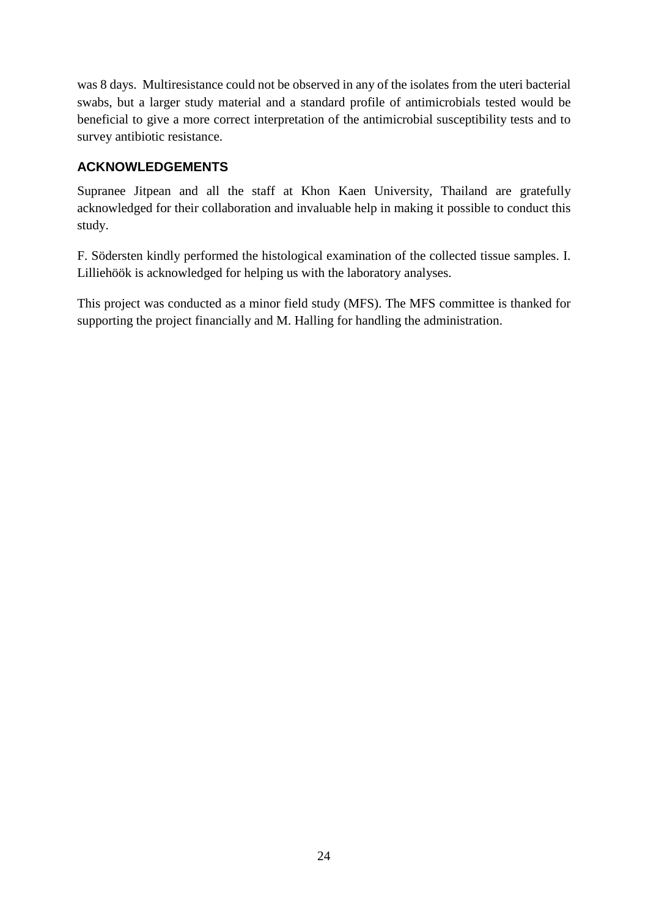was 8 days. Multiresistance could not be observed in any of the isolates from the uteri bacterial swabs, but a larger study material and a standard profile of antimicrobials tested would be beneficial to give a more correct interpretation of the antimicrobial susceptibility tests and to survey antibiotic resistance.

# **ACKNOWLEDGEMENTS**

Supranee Jitpean and all the staff at Khon Kaen University, Thailand are gratefully acknowledged for their collaboration and invaluable help in making it possible to conduct this study.

F. Södersten kindly performed the histological examination of the collected tissue samples. I. Lilliehöök is acknowledged for helping us with the laboratory analyses.

This project was conducted as a minor field study (MFS). The MFS committee is thanked for supporting the project financially and M. Halling for handling the administration.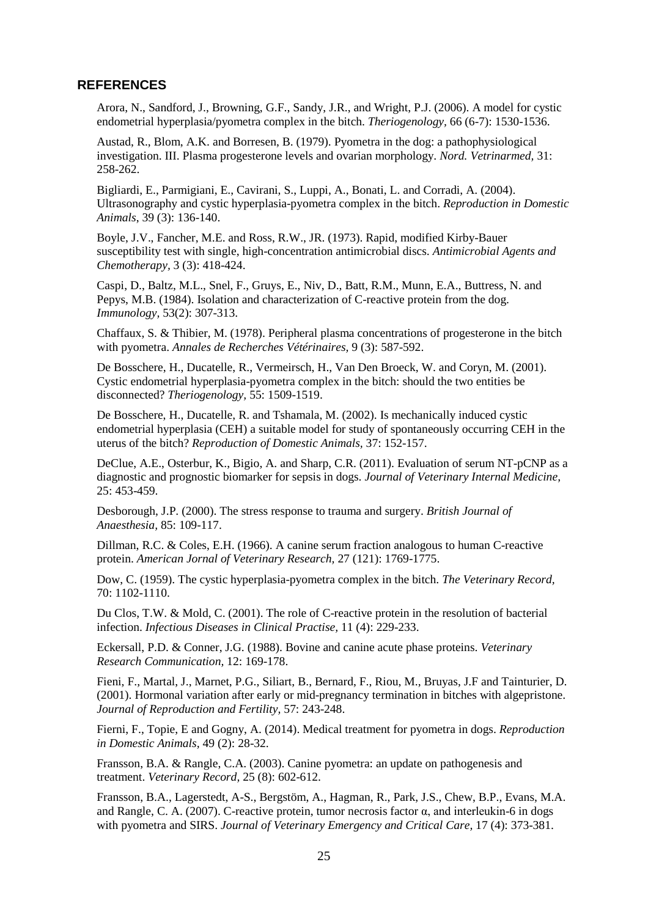#### **REFERENCES**

Arora, N., Sandford, J., Browning, G.F., Sandy, J.R., and Wright, P.J. (2006). A model for cystic endometrial hyperplasia/pyometra complex in the bitch. *Theriogenology,* 66 (6-7): 1530-1536.

Austad, R., Blom, A.K. and Borresen, B. (1979). Pyometra in the dog: a pathophysiological investigation. III. Plasma progesterone levels and ovarian morphology. *Nord. Vetrinarmed,* 31: 258-262.

Bigliardi, E., Parmigiani, E., Cavirani, S., Luppi, A., Bonati, L. and Corradi, A. (2004). Ultrasonography and cystic hyperplasia-pyometra complex in the bitch. *Reproduction in Domestic Animals*, 39 (3): 136-140.

Boyle, J.V., Fancher, M.E. and Ross, R.W., JR. (1973). Rapid, modified Kirby-Bauer susceptibility test with single, high-concentration antimicrobial discs. *Antimicrobial Agents and Chemotherapy,* 3 (3): 418-424.

Caspi, D., Baltz, M.L., Snel, F., Gruys, E., Niv, D., Batt, R.M., Munn, E.A., Buttress, N. and Pepys, M.B. (1984). Isolation and characterization of C-reactive protein from the dog. *Immunology,* 53(2): 307-313.

Chaffaux, S. & Thibier, M. (1978). Peripheral plasma concentrations of progesterone in the bitch with pyometra. *Annales de Recherches Vétérinaires,* 9 (3): 587-592.

De Bosschere, H., Ducatelle, R., Vermeirsch, H., Van Den Broeck, W. and Coryn, M. (2001). Cystic endometrial hyperplasia-pyometra complex in the bitch: should the two entities be disconnected? *Theriogenology,* 55: 1509-1519.

De Bosschere, H., Ducatelle, R. and Tshamala, M. (2002). Is mechanically induced cystic endometrial hyperplasia (CEH) a suitable model for study of spontaneously occurring CEH in the uterus of the bitch? *Reproduction of Domestic Animals,* 37: 152-157.

DeClue, A.E., Osterbur, K., Bigio, A. and Sharp, C.R. (2011). Evaluation of serum NT-pCNP as a diagnostic and prognostic biomarker for sepsis in dogs. *Journal of Veterinary Internal Medicine,*  25: 453-459.

Desborough, J.P. (2000). The stress response to trauma and surgery. *British Journal of Anaesthesia,* 85: 109-117.

Dillman, R.C. & Coles, E.H. (1966). A canine serum fraction analogous to human C-reactive protein. *American Jornal of Veterinary Research,* 27 (121): 1769-1775.

Dow, C. (1959). The cystic hyperplasia-pyometra complex in the bitch. *The Veterinary Record,*  70: 1102-1110.

Du Clos, T.W. & Mold, C. (2001). The role of C-reactive protein in the resolution of bacterial infection. *Infectious Diseases in Clinical Practise,* 11 (4): 229-233.

Eckersall, P.D. & Conner, J.G. (1988). Bovine and canine acute phase proteins. *Veterinary Research Communication,* 12: 169-178.

Fieni, F., Martal, J., Marnet, P.G., Siliart, B., Bernard, F., Riou, M., Bruyas, J.F and Tainturier, D. (2001). Hormonal variation after early or mid-pregnancy termination in bitches with algepristone. *Journal of Reproduction and Fertility,* 57: 243-248.

Fierni, F., Topie, E and Gogny, A. (2014). Medical treatment for pyometra in dogs. *Reproduction in Domestic Animals,* 49 (2): 28-32.

Fransson, B.A. & Rangle, C.A. (2003). Canine pyometra: an update on pathogenesis and treatment. *Veterinary Record,* 25 (8): 602-612.

Fransson, B.A., Lagerstedt, A-S., Bergstöm, A., Hagman, R., Park, J.S., Chew, B.P., Evans, M.A. and Rangle, C. A. (2007). C-reactive protein, tumor necrosis factor  $\alpha$ , and interleukin-6 in dogs with pyometra and SIRS. *Journal of Veterinary Emergency and Critical Care,* 17 (4): 373-381.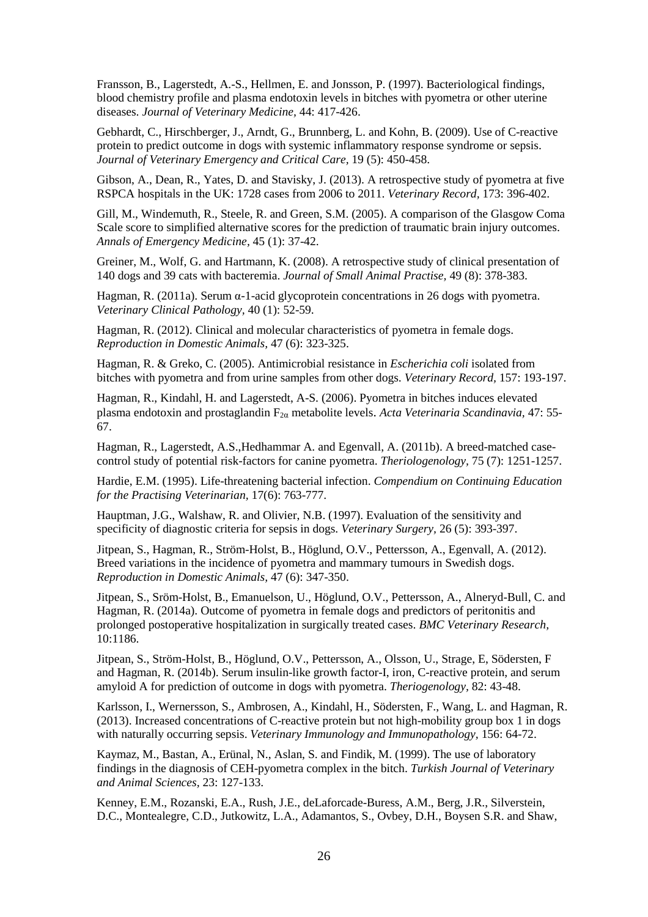Fransson, B., Lagerstedt, A.-S., Hellmen, E. and Jonsson, P. (1997). Bacteriological findings, blood chemistry profile and plasma endotoxin levels in bitches with pyometra or other uterine diseases. *Journal of Veterinary Medicine,* 44: 417-426.

Gebhardt, C., Hirschberger, J., Arndt, G., Brunnberg, L. and Kohn, B. (2009). Use of C-reactive protein to predict outcome in dogs with systemic inflammatory response syndrome or sepsis. *Journal of Veterinary Emergency and Critical Care,* 19 (5): 450-458.

Gibson, A., Dean, R., Yates, D. and Stavisky, J. (2013). A retrospective study of pyometra at five RSPCA hospitals in the UK: 1728 cases from 2006 to 2011. *Veterinary Record,* 173: 396-402.

Gill, M., Windemuth, R., Steele, R. and Green, S.M. (2005). A comparison of the Glasgow Coma Scale score to simplified alternative scores for the prediction of traumatic brain injury outcomes. *Annals of Emergency Medicine,* 45 (1): 37-42.

Greiner, M., Wolf, G. and Hartmann, K. (2008). A retrospective study of clinical presentation of 140 dogs and 39 cats with bacteremia. *Journal of Small Animal Practise,* 49 (8): 378-383.

Hagman, R. (2011a). Serum  $\alpha$ -1-acid glycoprotein concentrations in 26 dogs with pyometra. *Veterinary Clinical Pathology,* 40 (1): 52-59.

Hagman, R. (2012). Clinical and molecular characteristics of pyometra in female dogs. *Reproduction in Domestic Animals,* 47 (6): 323-325.

Hagman, R. & Greko, C. (2005). Antimicrobial resistance in *Escherichia coli* isolated from bitches with pyometra and from urine samples from other dogs. *Veterinary Record,* 157: 193-197.

Hagman, R., Kindahl, H. and Lagerstedt, A-S. (2006). Pyometra in bitches induces elevated plasma endotoxin and prostaglandin F2<sup>α</sup> metabolite levels. *Acta Veterinaria Scandinavia,* 47: 55- 67.

Hagman, R., Lagerstedt, A.S.,Hedhammar A. and Egenvall, A. (2011b). A breed-matched casecontrol study of potential risk-factors for canine pyometra. *Theriologenology,* 75 (7): 1251-1257.

Hardie, E.M. (1995). Life-threatening bacterial infection. *Compendium on Continuing Education for the Practising Veterinarian,* 17(6): 763-777.

Hauptman, J.G., Walshaw, R. and Olivier, N.B. (1997). Evaluation of the sensitivity and specificity of diagnostic criteria for sepsis in dogs. *Veterinary Surgery,* 26 (5): 393-397.

Jitpean, S., Hagman, R., Ström-Holst, B., Höglund, O.V., Pettersson, A., Egenvall, A. (2012). Breed variations in the incidence of pyometra and mammary tumours in Swedish dogs. *Reproduction in Domestic Animals,* 47 (6): 347-350.

Jitpean, S., Sröm-Holst, B., Emanuelson, U., Höglund, O.V., Pettersson, A., Alneryd-Bull, C. and Hagman, R. (2014a). Outcome of pyometra in female dogs and predictors of peritonitis and prolonged postoperative hospitalization in surgically treated cases. *BMC Veterinary Research,*  10:1186.

Jitpean, S., Ström-Holst, B., Höglund, O.V., Pettersson, A., Olsson, U., Strage, E, Södersten, F and Hagman, R. (2014b). Serum insulin-like growth factor-I, iron, C-reactive protein, and serum amyloid A for prediction of outcome in dogs with pyometra. *Theriogenology,* 82: 43-48.

Karlsson, I., Wernersson, S., Ambrosen, A., Kindahl, H., Södersten, F., Wang, L. and Hagman, R. (2013). Increased concentrations of C-reactive protein but not high-mobility group box 1 in dogs with naturally occurring sepsis. *Veterinary Immunology and Immunopathology,* 156: 64-72.

Kaymaz, M., Bastan, A., Erünal, N., Aslan, S. and Findik, M. (1999). The use of laboratory findings in the diagnosis of CEH-pyometra complex in the bitch. *Turkish Journal of Veterinary and Animal Sciences,* 23: 127-133.

Kenney, E.M., Rozanski, E.A., Rush, J.E., deLaforcade-Buress, A.M., Berg, J.R., Silverstein, D.C., Montealegre, C.D., Jutkowitz, L.A., Adamantos, S., Ovbey, D.H., Boysen S.R. and Shaw,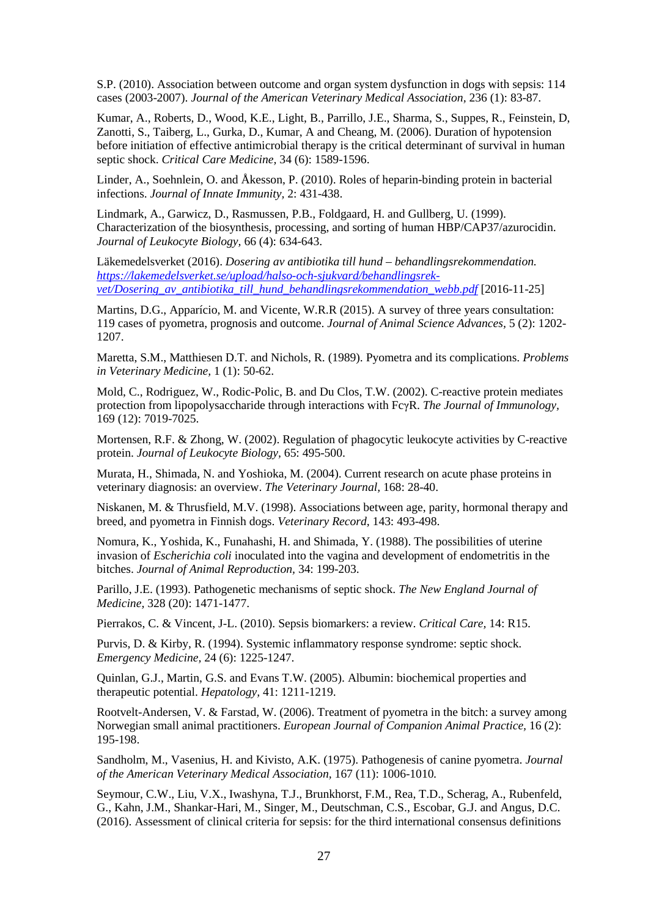S.P. (2010). Association between outcome and organ system dysfunction in dogs with sepsis: 114 cases (2003-2007). *Journal of the American Veterinary Medical Association,* 236 (1): 83-87.

Kumar, A., Roberts, D., Wood, K.E., Light, B., Parrillo, J.E., Sharma, S., Suppes, R., Feinstein, D, Zanotti, S., Taiberg, L., Gurka, D., Kumar, A and Cheang, M. (2006). Duration of hypotension before initiation of effective antimicrobial therapy is the critical determinant of survival in human septic shock. *Critical Care Medicine,* 34 (6): 1589-1596.

Linder, A., Soehnlein, O. and Åkesson, P. (2010). Roles of heparin-binding protein in bacterial infections. *Journal of Innate Immunity,* 2: 431-438.

Lindmark, A., Garwicz, D., Rasmussen, P.B., Foldgaard, H. and Gullberg, U. (1999). Characterization of the biosynthesis, processing, and sorting of human HBP/CAP37/azurocidin. *Journal of Leukocyte Biology,* 66 (4): 634-643.

Läkemedelsverket (2016). *Dosering av antibiotika till hund – behandlingsrekommendation. [https://lakemedelsverket.se/upload/halso-och-sjukvard/behandlingsrek](https://lakemedelsverket.se/upload/halso-och-sjukvard/behandlingsrek-vet/Dosering_av_antibiotika_till_hund_behandlingsrekommendation_webb.pdf)[vet/Dosering\\_av\\_antibiotika\\_till\\_hund\\_behandlingsrekommendation\\_webb.pdf](https://lakemedelsverket.se/upload/halso-och-sjukvard/behandlingsrek-vet/Dosering_av_antibiotika_till_hund_behandlingsrekommendation_webb.pdf)* [2016-11-25]

Martins, D.G., Apparício, M. and Vicente, W.R.R (2015). A survey of three years consultation: 119 cases of pyometra, prognosis and outcome. *Journal of Animal Science Advances,* 5 (2): 1202- 1207.

Maretta, S.M., Matthiesen D.T. and Nichols, R. (1989). Pyometra and its complications. *Problems in Veterinary Medicine,* 1 (1): 50-62.

Mold, C., Rodriguez, W., Rodic-Polic, B. and Du Clos, T.W. (2002). C-reactive protein mediates protection from lipopolysaccharide through interactions with FcγR. *The Journal of Immunology,*  169 (12): 7019-7025.

Mortensen, R.F. & Zhong, W. (2002). Regulation of phagocytic leukocyte activities by C-reactive protein. *Journal of Leukocyte Biology,* 65: 495-500.

Murata, H., Shimada, N. and Yoshioka, M. (2004). Current research on acute phase proteins in veterinary diagnosis: an overview. *The Veterinary Journal,* 168: 28-40.

Niskanen, M. & Thrusfield, M.V. (1998). Associations between age, parity, hormonal therapy and breed, and pyometra in Finnish dogs. *Veterinary Record,* 143: 493-498.

Nomura, K., Yoshida, K., Funahashi, H. and Shimada, Y. (1988). The possibilities of uterine invasion of *Escherichia coli* inoculated into the vagina and development of endometritis in the bitches. *Journal of Animal Reproduction,* 34: 199-203.

Parillo, J.E. (1993). Pathogenetic mechanisms of septic shock. *The New England Journal of Medicine,* 328 (20): 1471-1477.

Pierrakos, C. & Vincent, J-L. (2010). Sepsis biomarkers: a review. *Critical Care,* 14: R15.

Purvis, D. & Kirby, R. (1994). Systemic inflammatory response syndrome: septic shock. *Emergency Medicine,* 24 (6): 1225-1247.

Quinlan, G.J., Martin, G.S. and Evans T.W. (2005). Albumin: biochemical properties and therapeutic potential. *Hepatology,* 41: 1211-1219.

Rootvelt-Andersen, V. & Farstad, W. (2006). Treatment of pyometra in the bitch: a survey among Norwegian small animal practitioners. *European Journal of Companion Animal Practice,* 16 (2): 195-198.

Sandholm, M., Vasenius, H. and Kivisto, A.K. (1975). Pathogenesis of canine pyometra. *Journal of the American Veterinary Medical Association,* 167 (11): 1006-1010*.*

Seymour, C.W., Liu, V.X., Iwashyna, T.J., Brunkhorst, F.M., Rea, T.D., Scherag, A., Rubenfeld, G., Kahn, J.M., Shankar-Hari, M., Singer, M., Deutschman, C.S., Escobar, G.J. and Angus, D.C. (2016). Assessment of clinical criteria for sepsis: for the third international consensus definitions